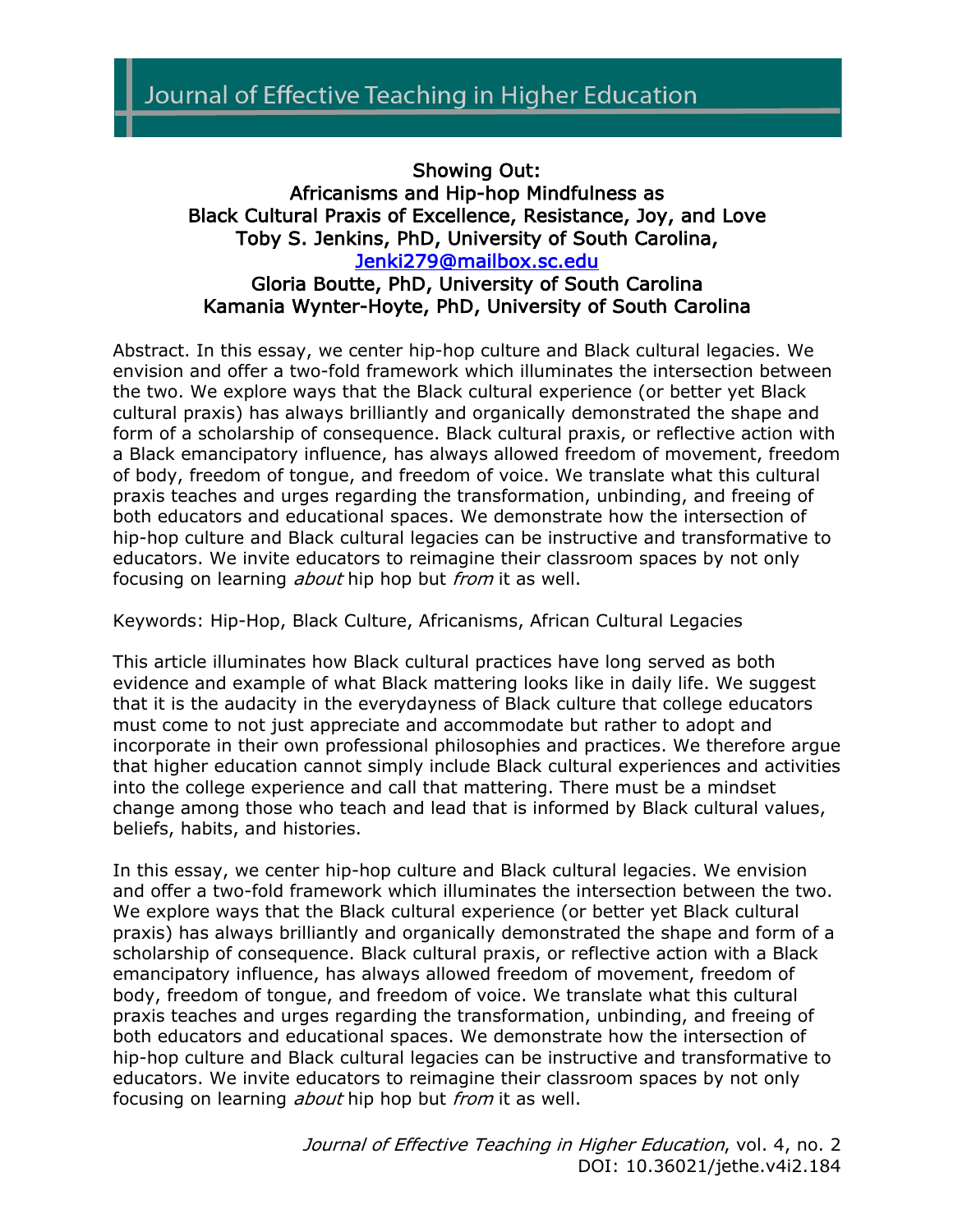## Showing Out: Africanisms and Hip-hop Mindfulness as Black Cultural Praxis of Excellence, Resistance, Joy, and Love Toby S. Jenkins, PhD, University of South Carolina, Jenki279@mailbox.sc.edu

## Gloria Boutte, PhD, University of South Carolina Kamania Wynter-Hoyte, PhD, University of South Carolina

Abstract. In this essay, we center hip-hop culture and Black cultural legacies. We envision and offer a two-fold framework which illuminates the intersection between the two. We explore ways that the Black cultural experience (or better yet Black cultural praxis) has always brilliantly and organically demonstrated the shape and form of a scholarship of consequence. Black cultural praxis, or reflective action with a Black emancipatory influence, has always allowed freedom of movement, freedom of body, freedom of tongue, and freedom of voice. We translate what this cultural praxis teaches and urges regarding the transformation, unbinding, and freeing of both educators and educational spaces. We demonstrate how the intersection of hip-hop culture and Black cultural legacies can be instructive and transformative to educators. We invite educators to reimagine their classroom spaces by not only focusing on learning *about* hip hop but *from* it as well.

Keywords: Hip-Hop, Black Culture, Africanisms, African Cultural Legacies

This article illuminates how Black cultural practices have long served as both evidence and example of what Black mattering looks like in daily life. We suggest that it is the audacity in the everydayness of Black culture that college educators must come to not just appreciate and accommodate but rather to adopt and incorporate in their own professional philosophies and practices. We therefore argue that higher education cannot simply include Black cultural experiences and activities into the college experience and call that mattering. There must be a mindset change among those who teach and lead that is informed by Black cultural values, beliefs, habits, and histories.

In this essay, we center hip-hop culture and Black cultural legacies. We envision and offer a two-fold framework which illuminates the intersection between the two. We explore ways that the Black cultural experience (or better yet Black cultural praxis) has always brilliantly and organically demonstrated the shape and form of a scholarship of consequence. Black cultural praxis, or reflective action with a Black emancipatory influence, has always allowed freedom of movement, freedom of body, freedom of tongue, and freedom of voice. We translate what this cultural praxis teaches and urges regarding the transformation, unbinding, and freeing of both educators and educational spaces. We demonstrate how the intersection of hip-hop culture and Black cultural legacies can be instructive and transformative to educators. We invite educators to reimagine their classroom spaces by not only focusing on learning *about* hip hop but *from* it as well.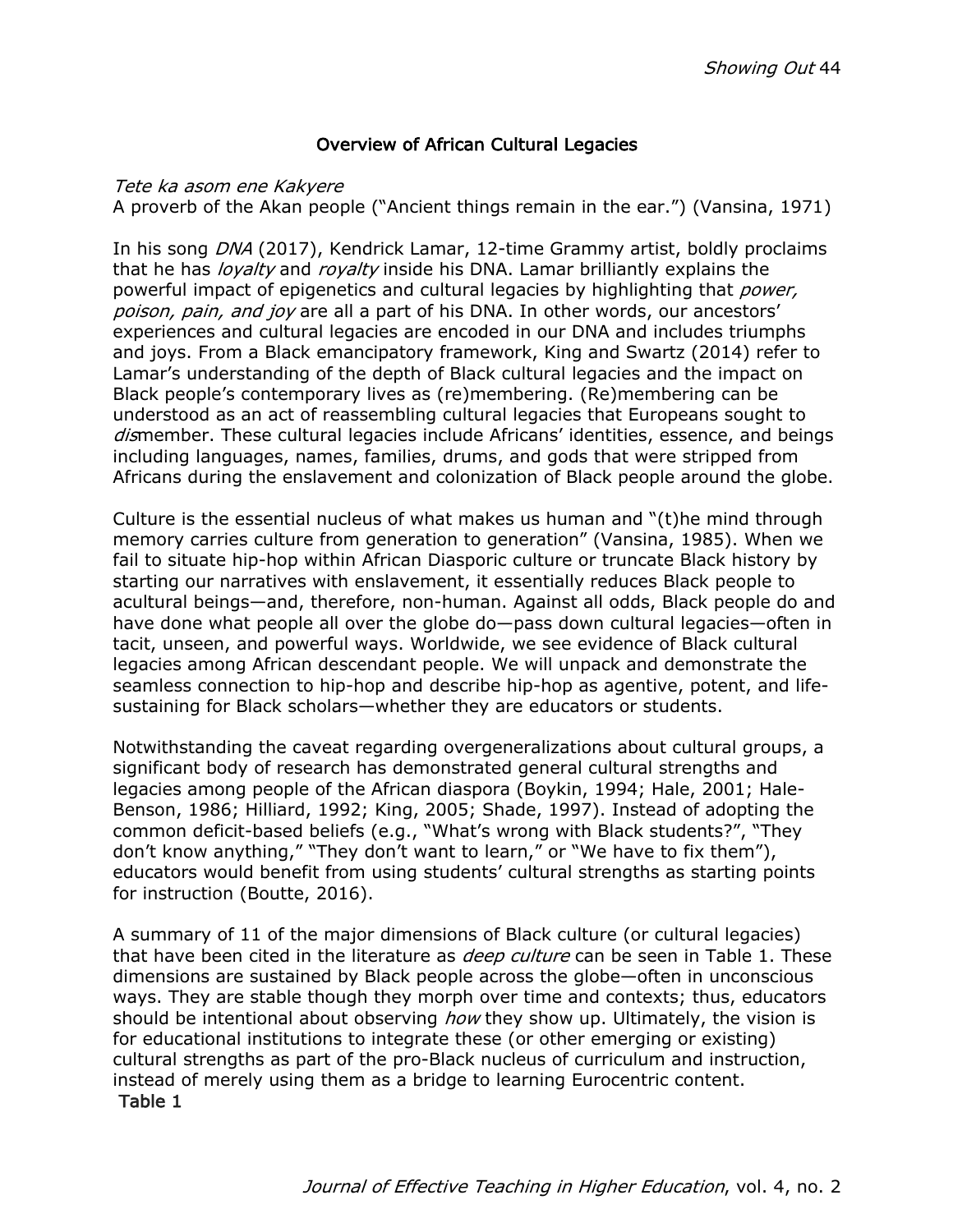### Overview of African Cultural Legacies

#### Tete ka asom ene Kakyere

A proverb of the Akan people ("Ancient things remain in the ear.") (Vansina, 1971)

In his song DNA (2017), Kendrick Lamar, 12-time Grammy artist, boldly proclaims that he has *loyalty* and *royalty* inside his DNA. Lamar brilliantly explains the powerful impact of epigenetics and cultural legacies by highlighting that *power*, poison, pain, and joy are all a part of his DNA. In other words, our ancestors' experiences and cultural legacies are encoded in our DNA and includes triumphs and joys. From a Black emancipatory framework, King and Swartz (2014) refer to Lamar's understanding of the depth of Black cultural legacies and the impact on Black people's contemporary lives as (re)membering. (Re)membering can be understood as an act of reassembling cultural legacies that Europeans sought to dismember. These cultural legacies include Africans' identities, essence, and beings including languages, names, families, drums, and gods that were stripped from Africans during the enslavement and colonization of Black people around the globe.

Culture is the essential nucleus of what makes us human and "(t)he mind through memory carries culture from generation to generation" (Vansina, 1985). When we fail to situate hip-hop within African Diasporic culture or truncate Black history by starting our narratives with enslavement, it essentially reduces Black people to acultural beings—and, therefore, non-human. Against all odds, Black people do and have done what people all over the globe do—pass down cultural legacies—often in tacit, unseen, and powerful ways. Worldwide, we see evidence of Black cultural legacies among African descendant people. We will unpack and demonstrate the seamless connection to hip-hop and describe hip-hop as agentive, potent, and lifesustaining for Black scholars—whether they are educators or students.

Notwithstanding the caveat regarding overgeneralizations about cultural groups, a significant body of research has demonstrated general cultural strengths and legacies among people of the African diaspora (Boykin, 1994; Hale, 2001; Hale-Benson, 1986; Hilliard, 1992; King, 2005; Shade, 1997). Instead of adopting the common deficit-based beliefs (e.g., "What's wrong with Black students?", "They don't know anything," "They don't want to learn," or "We have to fix them"), educators would benefit from using students' cultural strengths as starting points for instruction (Boutte, 2016).

A summary of 11 of the major dimensions of Black culture (or cultural legacies) that have been cited in the literature as *deep culture* can be seen in Table 1. These dimensions are sustained by Black people across the globe—often in unconscious ways. They are stable though they morph over time and contexts; thus, educators should be intentional about observing how they show up. Ultimately, the vision is for educational institutions to integrate these (or other emerging or existing) cultural strengths as part of the pro-Black nucleus of curriculum and instruction, instead of merely using them as a bridge to learning Eurocentric content. Table 1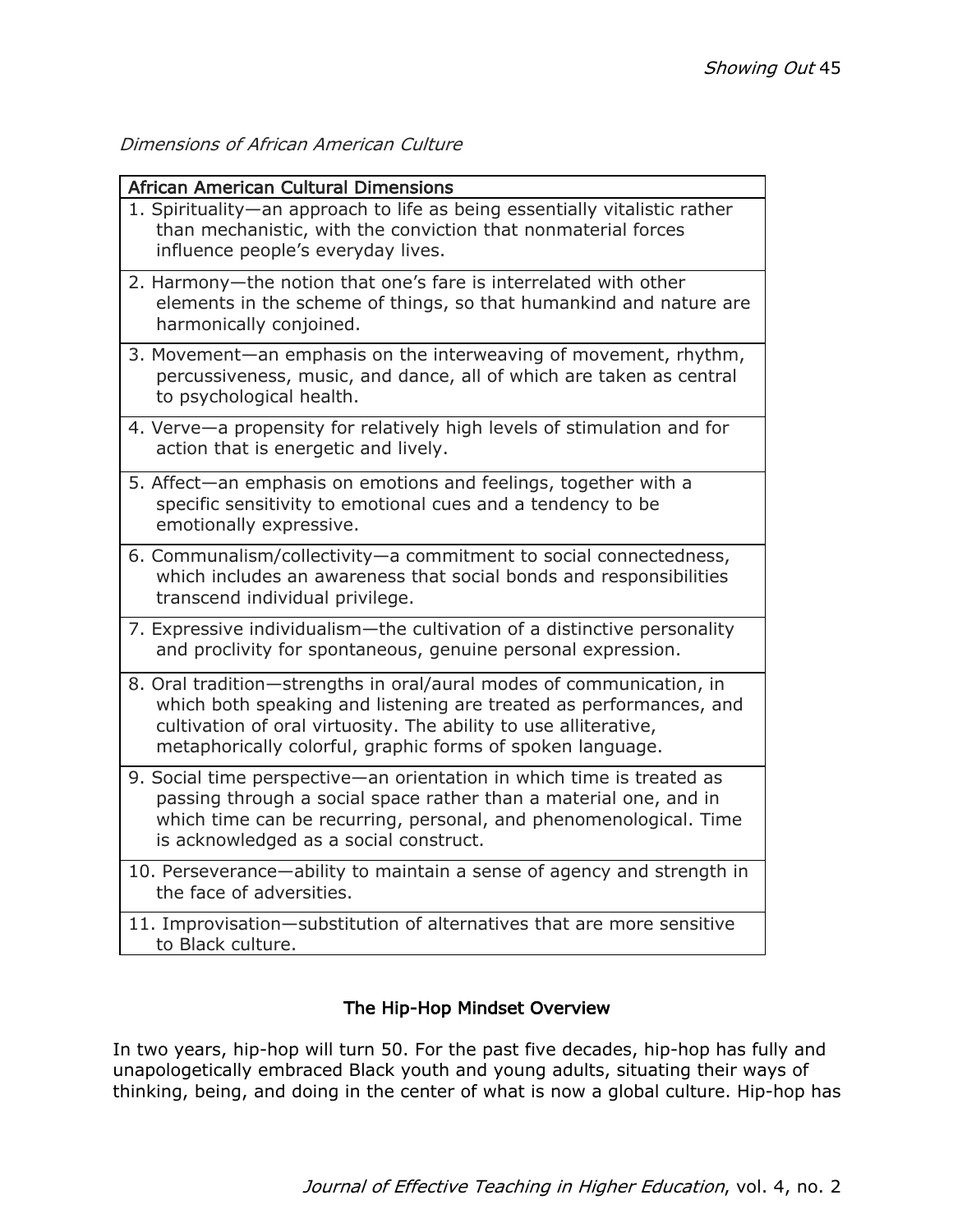Dimensions of African American Culture

| <b>African American Cultural Dimensions</b>                                                                                                                                                                                                                                  |  |  |
|------------------------------------------------------------------------------------------------------------------------------------------------------------------------------------------------------------------------------------------------------------------------------|--|--|
| 1. Spirituality-an approach to life as being essentially vitalistic rather<br>than mechanistic, with the conviction that nonmaterial forces<br>influence people's everyday lives.                                                                                            |  |  |
| 2. Harmony-the notion that one's fare is interrelated with other<br>elements in the scheme of things, so that humankind and nature are<br>harmonically conjoined.                                                                                                            |  |  |
| 3. Movement-an emphasis on the interweaving of movement, rhythm,<br>percussiveness, music, and dance, all of which are taken as central<br>to psychological health.                                                                                                          |  |  |
| 4. Verve-a propensity for relatively high levels of stimulation and for<br>action that is energetic and lively.                                                                                                                                                              |  |  |
| 5. Affect-an emphasis on emotions and feelings, together with a<br>specific sensitivity to emotional cues and a tendency to be<br>emotionally expressive.                                                                                                                    |  |  |
| 6. Communalism/collectivity-a commitment to social connectedness,<br>which includes an awareness that social bonds and responsibilities<br>transcend individual privilege.                                                                                                   |  |  |
| 7. Expressive individualism-the cultivation of a distinctive personality<br>and proclivity for spontaneous, genuine personal expression.                                                                                                                                     |  |  |
| 8. Oral tradition-strengths in oral/aural modes of communication, in<br>which both speaking and listening are treated as performances, and<br>cultivation of oral virtuosity. The ability to use alliterative,<br>metaphorically colorful, graphic forms of spoken language. |  |  |
| 9. Social time perspective-an orientation in which time is treated as<br>passing through a social space rather than a material one, and in<br>which time can be recurring, personal, and phenomenological. Time<br>is acknowledged as a social construct.                    |  |  |
| 10. Perseverance-ability to maintain a sense of agency and strength in<br>the face of adversities.                                                                                                                                                                           |  |  |
| 11. Improvisation-substitution of alternatives that are more sensitive<br>to Black culture.                                                                                                                                                                                  |  |  |

## The Hip-Hop Mindset Overview

In two years, hip-hop will turn 50. For the past five decades, hip-hop has fully and unapologetically embraced Black youth and young adults, situating their ways of thinking, being, and doing in the center of what is now a global culture. Hip-hop has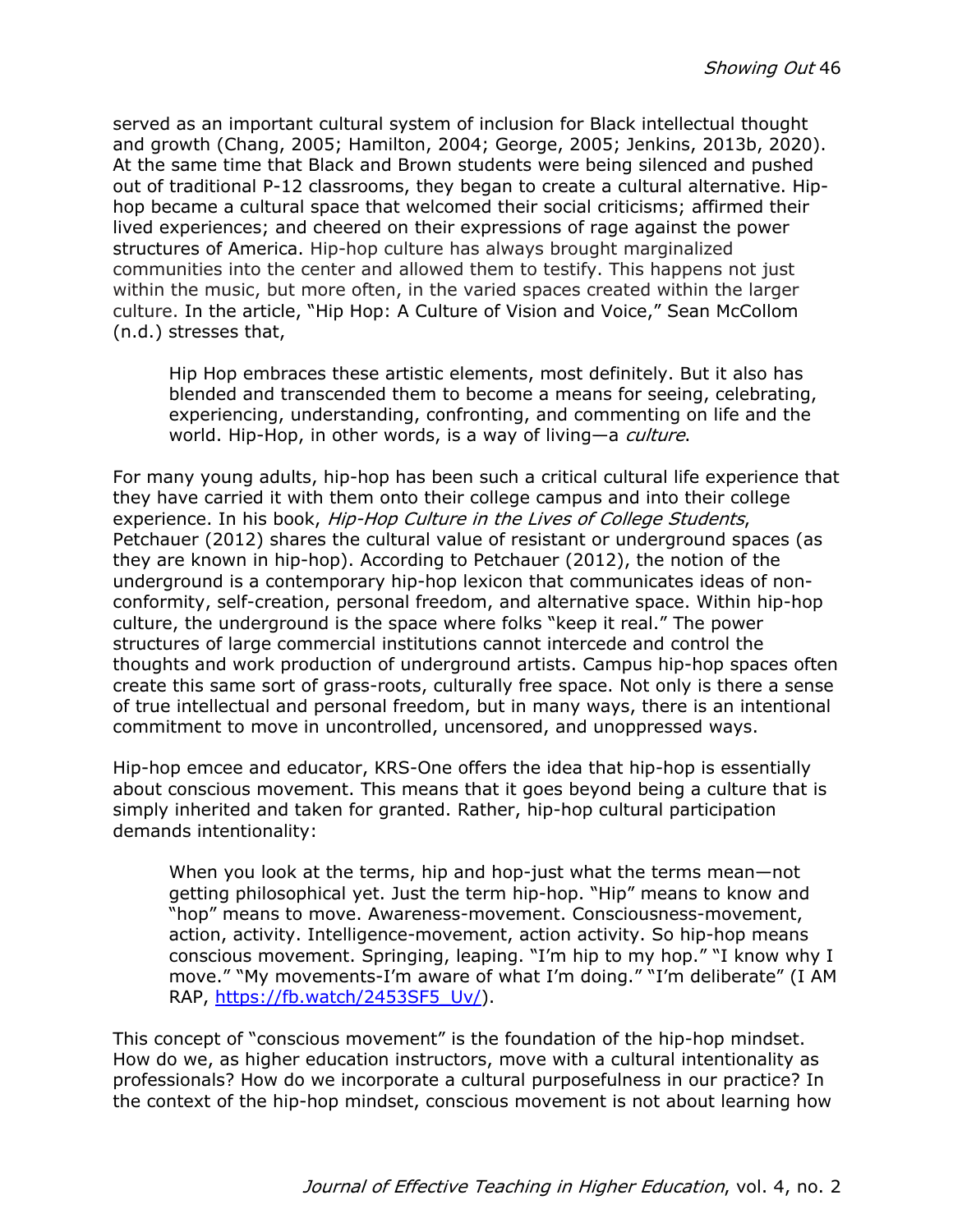served as an important cultural system of inclusion for Black intellectual thought and growth (Chang, 2005; Hamilton, 2004; George, 2005; Jenkins, 2013b, 2020). At the same time that Black and Brown students were being silenced and pushed out of traditional P-12 classrooms, they began to create a cultural alternative. Hiphop became a cultural space that welcomed their social criticisms; affirmed their lived experiences; and cheered on their expressions of rage against the power structures of America. Hip-hop culture has always brought marginalized communities into the center and allowed them to testify. This happens not just within the music, but more often, in the varied spaces created within the larger culture. In the article, "Hip Hop: A Culture of Vision and Voice," Sean McCollom (n.d.) stresses that,

Hip Hop embraces these artistic elements, most definitely. But it also has blended and transcended them to become a means for seeing, celebrating, experiencing, understanding, confronting, and commenting on life and the world. Hip-Hop, in other words, is a way of living—a *culture*.

For many young adults, hip-hop has been such a critical cultural life experience that they have carried it with them onto their college campus and into their college experience. In his book, Hip-Hop Culture in the Lives of College Students, Petchauer (2012) shares the cultural value of resistant or underground spaces (as they are known in hip-hop). According to Petchauer (2012), the notion of the underground is a contemporary hip-hop lexicon that communicates ideas of nonconformity, self-creation, personal freedom, and alternative space. Within hip-hop culture, the underground is the space where folks "keep it real." The power structures of large commercial institutions cannot intercede and control the thoughts and work production of underground artists. Campus hip-hop spaces often create this same sort of grass-roots, culturally free space. Not only is there a sense of true intellectual and personal freedom, but in many ways, there is an intentional commitment to move in uncontrolled, uncensored, and unoppressed ways.

Hip-hop emcee and educator, KRS-One offers the idea that hip-hop is essentially about conscious movement. This means that it goes beyond being a culture that is simply inherited and taken for granted. Rather, hip-hop cultural participation demands intentionality:

When you look at the terms, hip and hop-just what the terms mean—not getting philosophical yet. Just the term hip-hop. "Hip" means to know and "hop" means to move. Awareness-movement. Consciousness-movement, action, activity. Intelligence-movement, action activity. So hip-hop means conscious movement. Springing, leaping. "I'm hip to my hop." "I know why I move." "My movements-I'm aware of what I'm doing." "I'm deliberate" (I AM RAP, https://fb.watch/2453SF5\_Uv/).

This concept of "conscious movement" is the foundation of the hip-hop mindset. How do we, as higher education instructors, move with a cultural intentionality as professionals? How do we incorporate a cultural purposefulness in our practice? In the context of the hip-hop mindset, conscious movement is not about learning how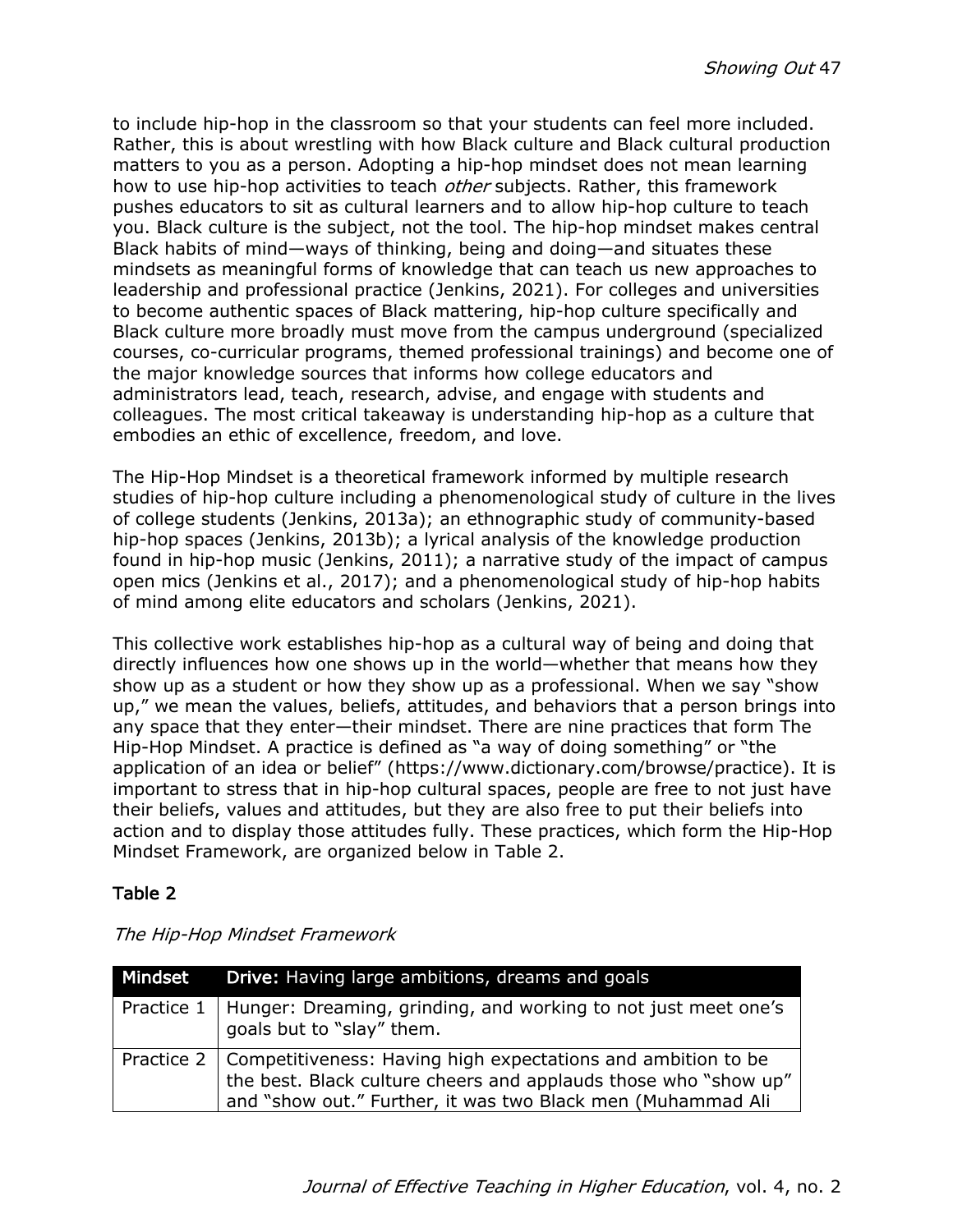to include hip-hop in the classroom so that your students can feel more included. Rather, this is about wrestling with how Black culture and Black cultural production matters to you as a person. Adopting a hip-hop mindset does not mean learning how to use hip-hop activities to teach *other* subjects. Rather, this framework pushes educators to sit as cultural learners and to allow hip-hop culture to teach you. Black culture is the subject, not the tool. The hip-hop mindset makes central Black habits of mind—ways of thinking, being and doing—and situates these mindsets as meaningful forms of knowledge that can teach us new approaches to leadership and professional practice (Jenkins, 2021). For colleges and universities to become authentic spaces of Black mattering, hip-hop culture specifically and Black culture more broadly must move from the campus underground (specialized courses, co-curricular programs, themed professional trainings) and become one of the major knowledge sources that informs how college educators and administrators lead, teach, research, advise, and engage with students and colleagues. The most critical takeaway is understanding hip-hop as a culture that embodies an ethic of excellence, freedom, and love.

The Hip-Hop Mindset is a theoretical framework informed by multiple research studies of hip-hop culture including a phenomenological study of culture in the lives of college students (Jenkins, 2013a); an ethnographic study of community-based hip-hop spaces (Jenkins, 2013b); a lyrical analysis of the knowledge production found in hip-hop music (Jenkins, 2011); a narrative study of the impact of campus open mics (Jenkins et al., 2017); and a phenomenological study of hip-hop habits of mind among elite educators and scholars (Jenkins, 2021).

This collective work establishes hip-hop as a cultural way of being and doing that directly influences how one shows up in the world—whether that means how they show up as a student or how they show up as a professional. When we say "show up," we mean the values, beliefs, attitudes, and behaviors that a person brings into any space that they enter—their mindset. There are nine practices that form The Hip-Hop Mindset. A practice is defined as "a way of doing something" or "the application of an idea or belief" (https://www.dictionary.com/browse/practice). It is important to stress that in hip-hop cultural spaces, people are free to not just have their beliefs, values and attitudes, but they are also free to put their beliefs into action and to display those attitudes fully. These practices, which form the Hip-Hop Mindset Framework, are organized below in Table 2.

## Table 2

| Mindset | Drive: Having large ambitions, dreams and goals                                                                                                                                                          |
|---------|----------------------------------------------------------------------------------------------------------------------------------------------------------------------------------------------------------|
|         | Practice 1   Hunger: Dreaming, grinding, and working to not just meet one's<br>$^{\prime}$ goals but to "slay" them.                                                                                     |
|         | Practice 2   Competitiveness: Having high expectations and ambition to be the best. Black culture cheers and applauds those who "show up"<br>and "show out." Further, it was two Black men (Muhammad Ali |

The Hip-Hop Mindset Framework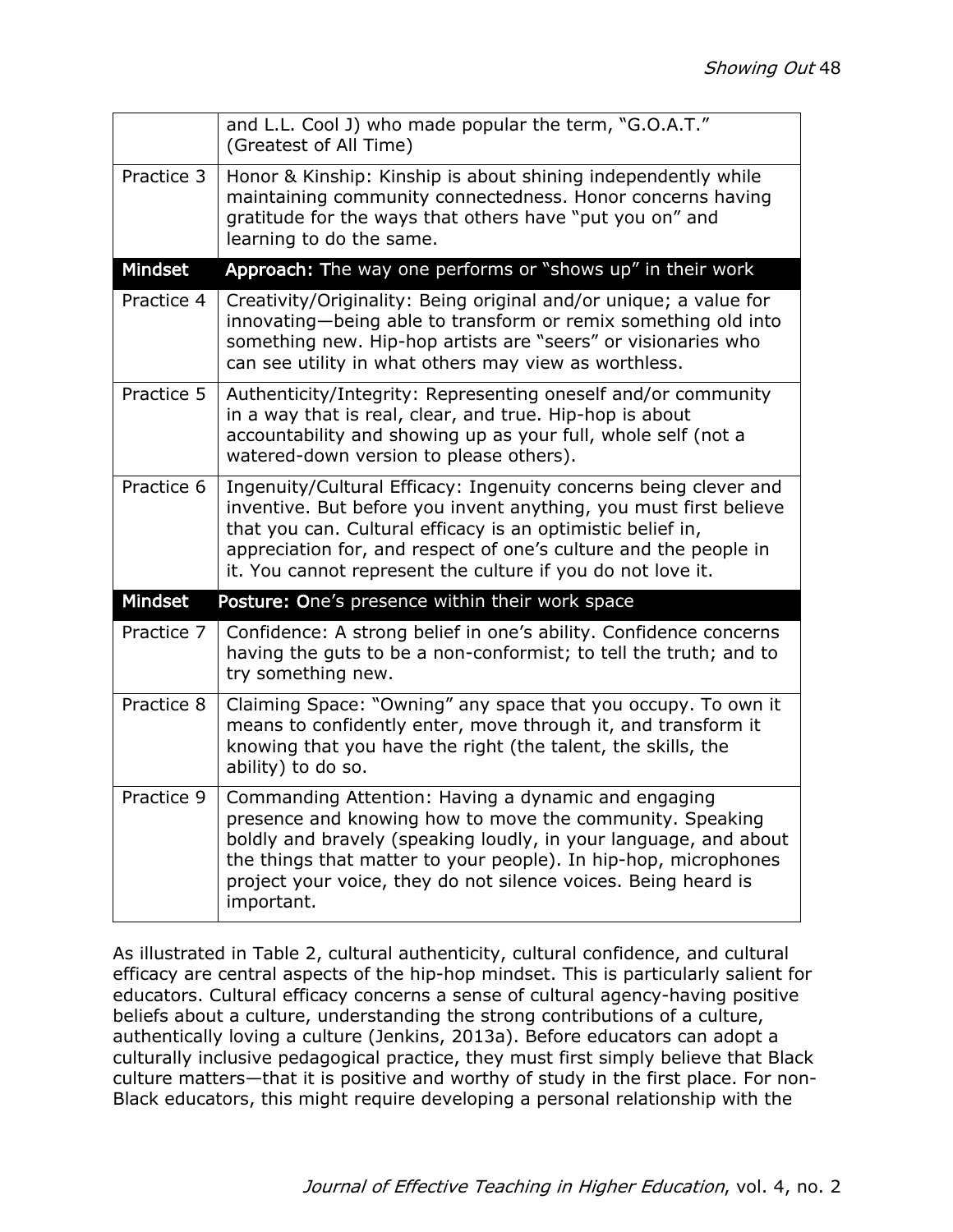|            | and L.L. Cool J) who made popular the term, "G.O.A.T."<br>(Greatest of All Time)                                                                                                                                                                                                                                                        |
|------------|-----------------------------------------------------------------------------------------------------------------------------------------------------------------------------------------------------------------------------------------------------------------------------------------------------------------------------------------|
| Practice 3 | Honor & Kinship: Kinship is about shining independently while<br>maintaining community connectedness. Honor concerns having<br>gratitude for the ways that others have "put you on" and<br>learning to do the same.                                                                                                                     |
| Mindset    | Approach: The way one performs or "shows up" in their work                                                                                                                                                                                                                                                                              |
| Practice 4 | Creativity/Originality: Being original and/or unique; a value for<br>innovating-being able to transform or remix something old into<br>something new. Hip-hop artists are "seers" or visionaries who<br>can see utility in what others may view as worthless.                                                                           |
| Practice 5 | Authenticity/Integrity: Representing oneself and/or community<br>in a way that is real, clear, and true. Hip-hop is about<br>accountability and showing up as your full, whole self (not a<br>watered-down version to please others).                                                                                                   |
| Practice 6 | Ingenuity/Cultural Efficacy: Ingenuity concerns being clever and<br>inventive. But before you invent anything, you must first believe<br>that you can. Cultural efficacy is an optimistic belief in,<br>appreciation for, and respect of one's culture and the people in<br>it. You cannot represent the culture if you do not love it. |
| Mindset    | Posture: One's presence within their work space                                                                                                                                                                                                                                                                                         |
| Practice 7 | Confidence: A strong belief in one's ability. Confidence concerns<br>having the guts to be a non-conformist; to tell the truth; and to<br>try something new.                                                                                                                                                                            |
| Practice 8 | Claiming Space: "Owning" any space that you occupy. To own it<br>means to confidently enter, move through it, and transform it<br>knowing that you have the right (the talent, the skills, the<br>ability) to do so.                                                                                                                    |
| Practice 9 | Commanding Attention: Having a dynamic and engaging<br>presence and knowing how to move the community. Speaking<br>boldly and bravely (speaking loudly, in your language, and about<br>the things that matter to your people). In hip-hop, microphones<br>project your voice, they do not silence voices. Being heard is<br>important.  |

As illustrated in Table 2, cultural authenticity, cultural confidence, and cultural efficacy are central aspects of the hip-hop mindset. This is particularly salient for educators. Cultural efficacy concerns a sense of cultural agency-having positive beliefs about a culture, understanding the strong contributions of a culture, authentically loving a culture (Jenkins, 2013a). Before educators can adopt a culturally inclusive pedagogical practice, they must first simply believe that Black culture matters—that it is positive and worthy of study in the first place. For non-Black educators, this might require developing a personal relationship with the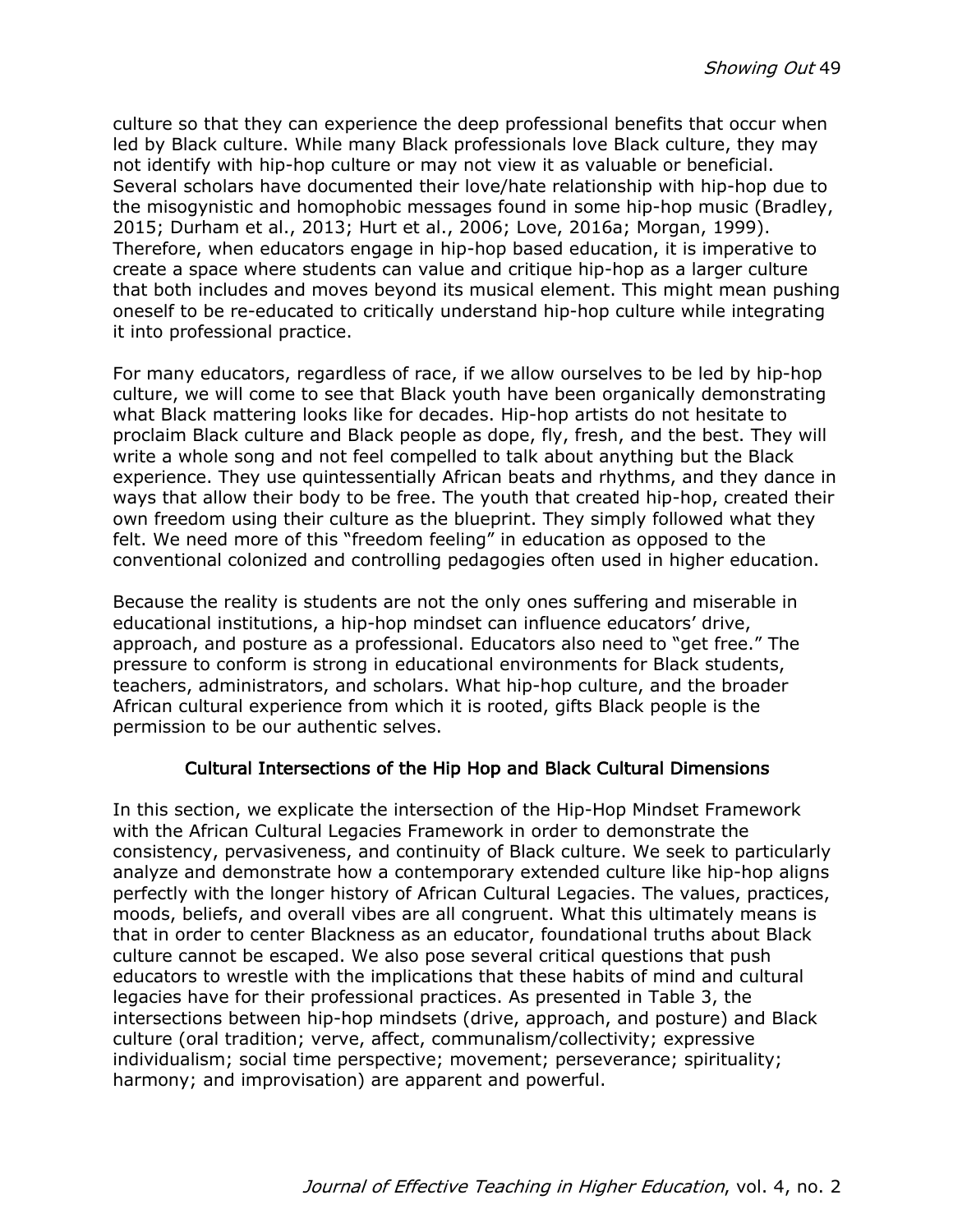culture so that they can experience the deep professional benefits that occur when led by Black culture. While many Black professionals love Black culture, they may not identify with hip-hop culture or may not view it as valuable or beneficial. Several scholars have documented their love/hate relationship with hip-hop due to the misogynistic and homophobic messages found in some hip-hop music (Bradley, 2015; Durham et al., 2013; Hurt et al., 2006; Love, 2016a; Morgan, 1999). Therefore, when educators engage in hip-hop based education, it is imperative to create a space where students can value and critique hip-hop as a larger culture that both includes and moves beyond its musical element. This might mean pushing oneself to be re-educated to critically understand hip-hop culture while integrating it into professional practice.

For many educators, regardless of race, if we allow ourselves to be led by hip-hop culture, we will come to see that Black youth have been organically demonstrating what Black mattering looks like for decades. Hip-hop artists do not hesitate to proclaim Black culture and Black people as dope, fly, fresh, and the best. They will write a whole song and not feel compelled to talk about anything but the Black experience. They use quintessentially African beats and rhythms, and they dance in ways that allow their body to be free. The youth that created hip-hop, created their own freedom using their culture as the blueprint. They simply followed what they felt. We need more of this "freedom feeling" in education as opposed to the conventional colonized and controlling pedagogies often used in higher education.

Because the reality is students are not the only ones suffering and miserable in educational institutions, a hip-hop mindset can influence educators' drive, approach, and posture as a professional. Educators also need to "get free." The pressure to conform is strong in educational environments for Black students, teachers, administrators, and scholars. What hip-hop culture, and the broader African cultural experience from which it is rooted, gifts Black people is the permission to be our authentic selves.

## Cultural Intersections of the Hip Hop and Black Cultural Dimensions

In this section, we explicate the intersection of the Hip-Hop Mindset Framework with the African Cultural Legacies Framework in order to demonstrate the consistency, pervasiveness, and continuity of Black culture. We seek to particularly analyze and demonstrate how a contemporary extended culture like hip-hop aligns perfectly with the longer history of African Cultural Legacies. The values, practices, moods, beliefs, and overall vibes are all congruent. What this ultimately means is that in order to center Blackness as an educator, foundational truths about Black culture cannot be escaped. We also pose several critical questions that push educators to wrestle with the implications that these habits of mind and cultural legacies have for their professional practices. As presented in Table 3, the intersections between hip-hop mindsets (drive, approach, and posture) and Black culture (oral tradition; verve, affect, communalism/collectivity; expressive individualism; social time perspective; movement; perseverance; spirituality; harmony; and improvisation) are apparent and powerful.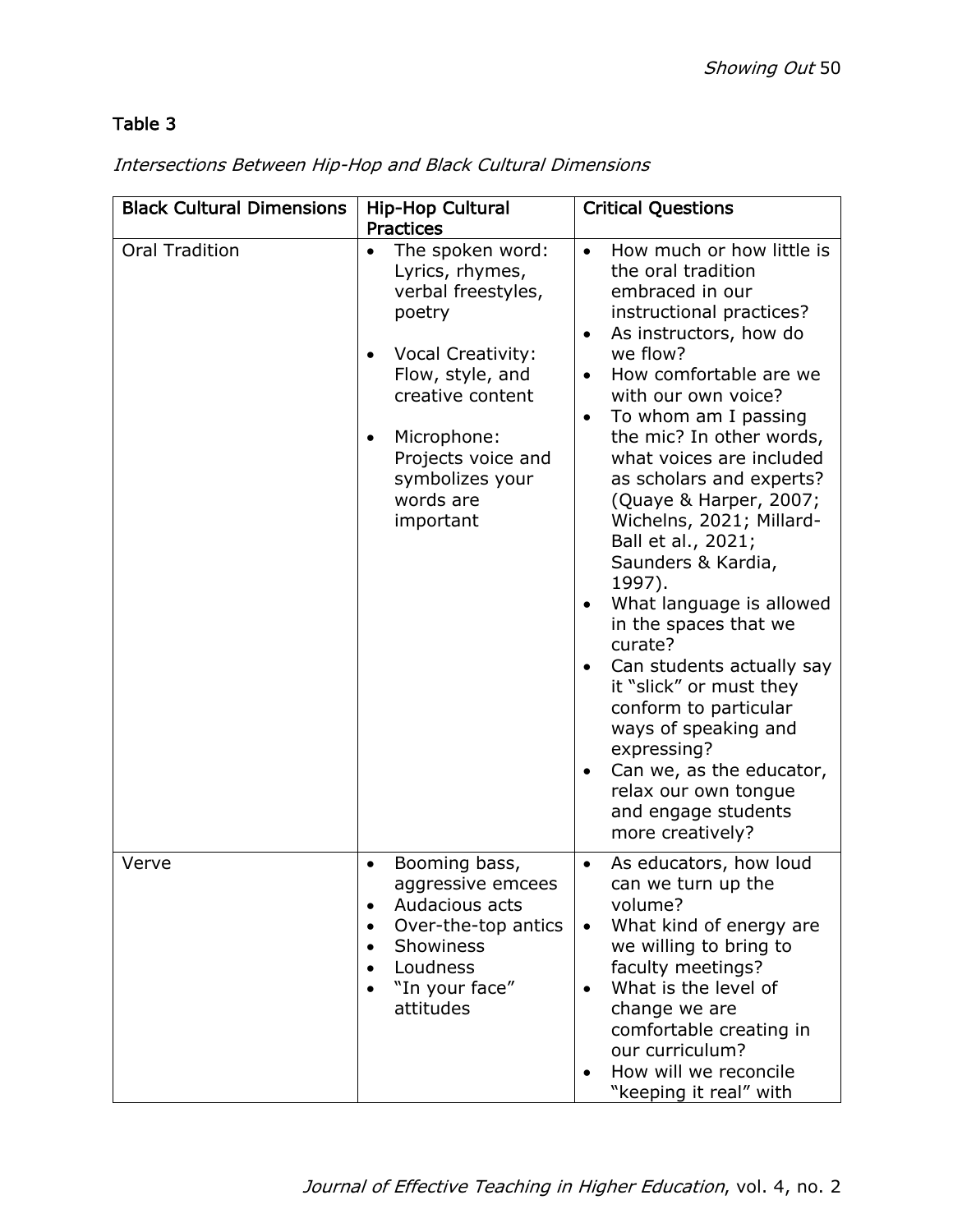# Table 3

| <b>Black Cultural Dimensions</b> | <b>Hip-Hop Cultural</b><br><b>Practices</b>                                                                                                                                                                                                               | <b>Critical Questions</b>                                                                                                                                                                                                                                                                                                                                                                                                                                                                                                                                                                                                                                                                                                                                                          |
|----------------------------------|-----------------------------------------------------------------------------------------------------------------------------------------------------------------------------------------------------------------------------------------------------------|------------------------------------------------------------------------------------------------------------------------------------------------------------------------------------------------------------------------------------------------------------------------------------------------------------------------------------------------------------------------------------------------------------------------------------------------------------------------------------------------------------------------------------------------------------------------------------------------------------------------------------------------------------------------------------------------------------------------------------------------------------------------------------|
| <b>Oral Tradition</b>            | The spoken word:<br>$\bullet$<br>Lyrics, rhymes,<br>verbal freestyles,<br>poetry<br>Vocal Creativity:<br>$\bullet$<br>Flow, style, and<br>creative content<br>Microphone:<br>$\bullet$<br>Projects voice and<br>symbolizes your<br>words are<br>important | How much or how little is<br>$\bullet$<br>the oral tradition<br>embraced in our<br>instructional practices?<br>As instructors, how do<br>$\bullet$<br>we flow?<br>How comfortable are we<br>with our own voice?<br>To whom am I passing<br>$\bullet$<br>the mic? In other words,<br>what voices are included<br>as scholars and experts?<br>(Quaye & Harper, 2007;<br>Wichelns, 2021; Millard-<br>Ball et al., 2021;<br>Saunders & Kardia,<br>1997).<br>What language is allowed<br>$\bullet$<br>in the spaces that we<br>curate?<br>Can students actually say<br>$\bullet$<br>it "slick" or must they<br>conform to particular<br>ways of speaking and<br>expressing?<br>Can we, as the educator,<br>$\bullet$<br>relax our own tongue<br>and engage students<br>more creatively? |
| Verve                            | Booming bass,<br>$\bullet$<br>aggressive emcees<br>Audacious acts<br>$\bullet$<br>Over-the-top antics<br>Showiness<br>$\bullet$<br>Loudness<br>"In your face"<br>attitudes                                                                                | As educators, how loud<br>$\bullet$<br>can we turn up the<br>volume?<br>What kind of energy are<br>$\bullet$<br>we willing to bring to<br>faculty meetings?<br>What is the level of<br>change we are<br>comfortable creating in<br>our curriculum?<br>How will we reconcile<br>"keeping it real" with                                                                                                                                                                                                                                                                                                                                                                                                                                                                              |

# Intersections Between Hip-Hop and Black Cultural Dimensions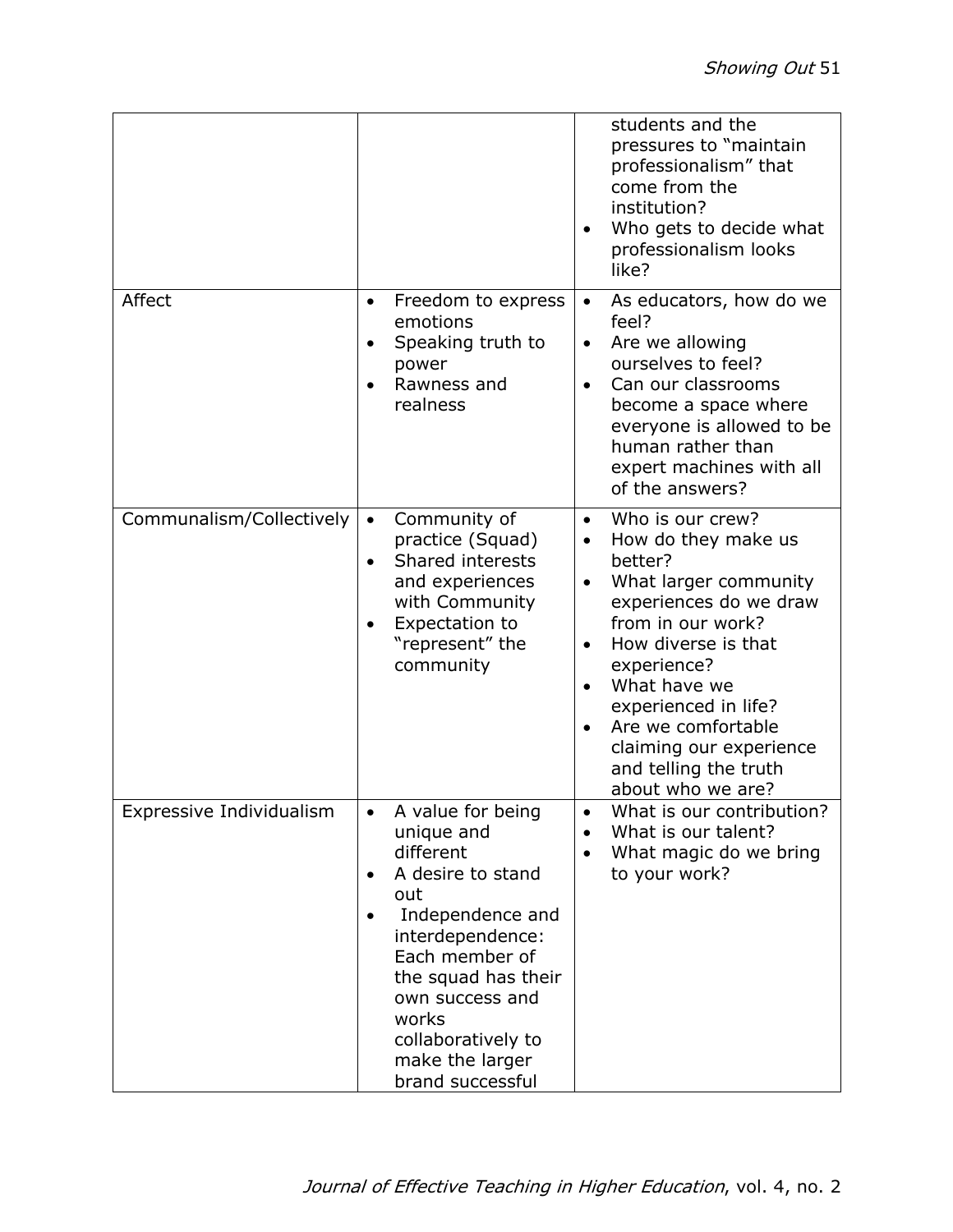|                          |                                                                                                                                                                                                                                                                              | students and the<br>pressures to "maintain<br>professionalism" that<br>come from the<br>institution?<br>Who gets to decide what<br>$\bullet$<br>professionalism looks<br>like?                                                                                                                                                                 |
|--------------------------|------------------------------------------------------------------------------------------------------------------------------------------------------------------------------------------------------------------------------------------------------------------------------|------------------------------------------------------------------------------------------------------------------------------------------------------------------------------------------------------------------------------------------------------------------------------------------------------------------------------------------------|
| Affect                   | Freedom to express<br>$\bullet$<br>emotions<br>Speaking truth to<br>$\bullet$<br>power<br>Rawness and<br>realness                                                                                                                                                            | As educators, how do we<br>$\bullet$<br>feel?<br>Are we allowing<br>$\bullet$<br>ourselves to feel?<br>Can our classrooms<br>become a space where<br>everyone is allowed to be<br>human rather than<br>expert machines with all<br>of the answers?                                                                                             |
| Communalism/Collectively | Community of<br>$\bullet$<br>practice (Squad)<br>Shared interests<br>$\bullet$<br>and experiences<br>with Community<br>Expectation to<br>"represent" the<br>community                                                                                                        | Who is our crew?<br>$\bullet$<br>How do they make us<br>$\bullet$<br>better?<br>What larger community<br>$\bullet$<br>experiences do we draw<br>from in our work?<br>How diverse is that<br>experience?<br>What have we<br>experienced in life?<br>Are we comfortable<br>claiming our experience<br>and telling the truth<br>about who we are? |
| Expressive Individualism | A value for being<br>unique and<br>different<br>A desire to stand<br>$\bullet$<br>out<br>Independence and<br>$\bullet$<br>interdependence:<br>Each member of<br>the squad has their<br>own success and<br>works<br>collaboratively to<br>make the larger<br>brand successful | What is our contribution?<br>What is our talent?<br>What magic do we bring<br>$\bullet$<br>to your work?                                                                                                                                                                                                                                       |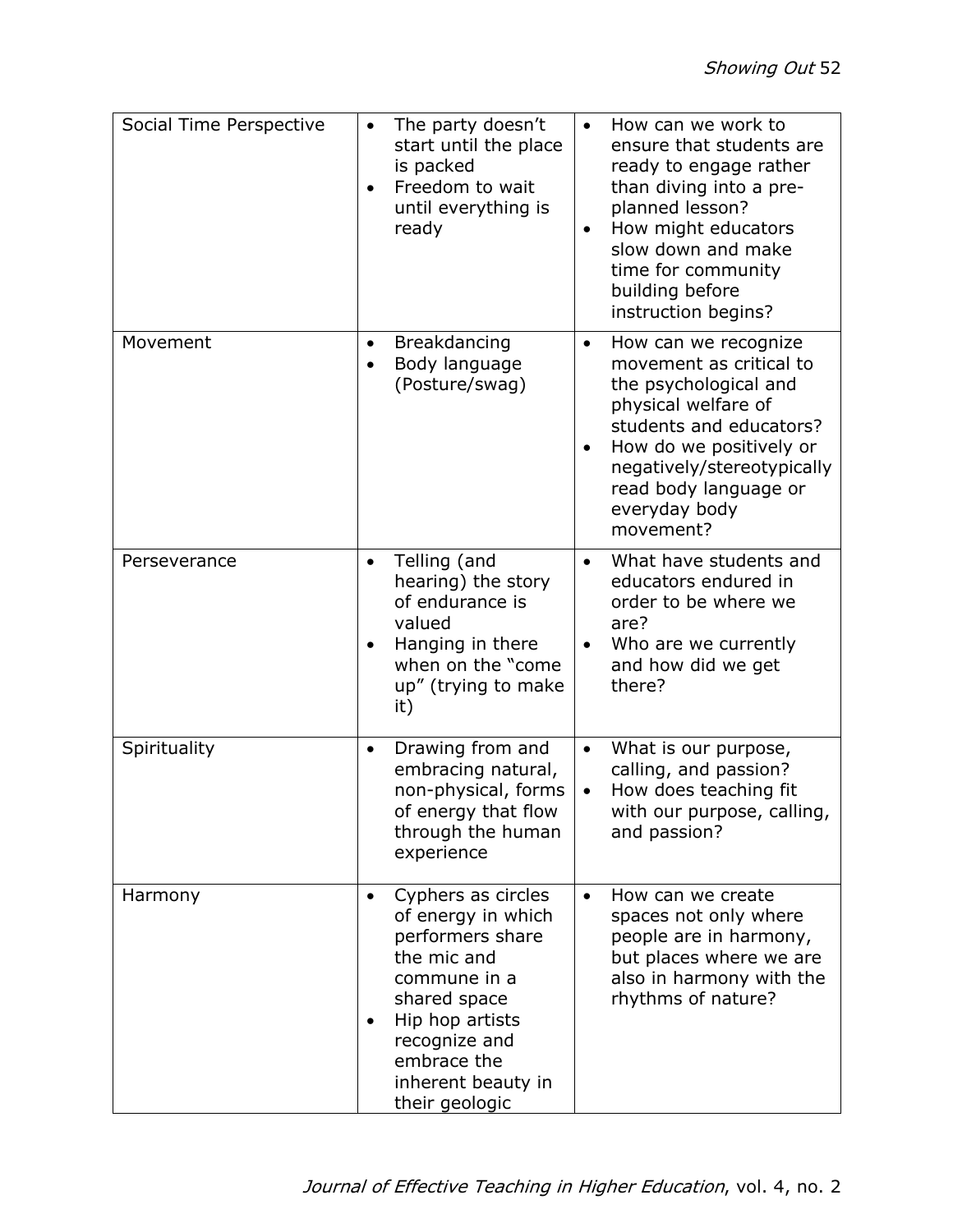| Social Time Perspective | The party doesn't<br>$\bullet$<br>start until the place<br>is packed<br>Freedom to wait<br>until everything is<br>ready                                                                                                          | How can we work to<br>$\bullet$<br>ensure that students are<br>ready to engage rather<br>than diving into a pre-<br>planned lesson?<br>How might educators<br>$\bullet$<br>slow down and make<br>time for community<br>building before<br>instruction begins? |
|-------------------------|----------------------------------------------------------------------------------------------------------------------------------------------------------------------------------------------------------------------------------|---------------------------------------------------------------------------------------------------------------------------------------------------------------------------------------------------------------------------------------------------------------|
| Movement                | Breakdancing<br>$\bullet$<br>Body language<br>$\bullet$<br>(Posture/swag)                                                                                                                                                        | How can we recognize<br>$\bullet$<br>movement as critical to<br>the psychological and<br>physical welfare of<br>students and educators?<br>How do we positively or<br>negatively/stereotypically<br>read body language or<br>everyday body<br>movement?       |
| Perseverance            | Telling (and<br>$\bullet$<br>hearing) the story<br>of endurance is<br>valued<br>Hanging in there<br>when on the "come"<br>up" (trying to make<br>it)                                                                             | What have students and<br>educators endured in<br>order to be where we<br>are?<br>Who are we currently<br>and how did we get<br>there?                                                                                                                        |
| Spirituality            | Drawing from and<br>$\bullet$<br>embracing natural,<br>non-physical, forms<br>of energy that flow<br>through the human<br>experience                                                                                             | What is our purpose,<br>$\bullet$<br>calling, and passion?<br>How does teaching fit<br>$\bullet$<br>with our purpose, calling,<br>and passion?                                                                                                                |
| Harmony                 | Cyphers as circles<br>$\bullet$<br>of energy in which<br>performers share<br>the mic and<br>commune in a<br>shared space<br>Hip hop artists<br>$\bullet$<br>recognize and<br>embrace the<br>inherent beauty in<br>their geologic | How can we create<br>$\bullet$<br>spaces not only where<br>people are in harmony,<br>but places where we are<br>also in harmony with the<br>rhythms of nature?                                                                                                |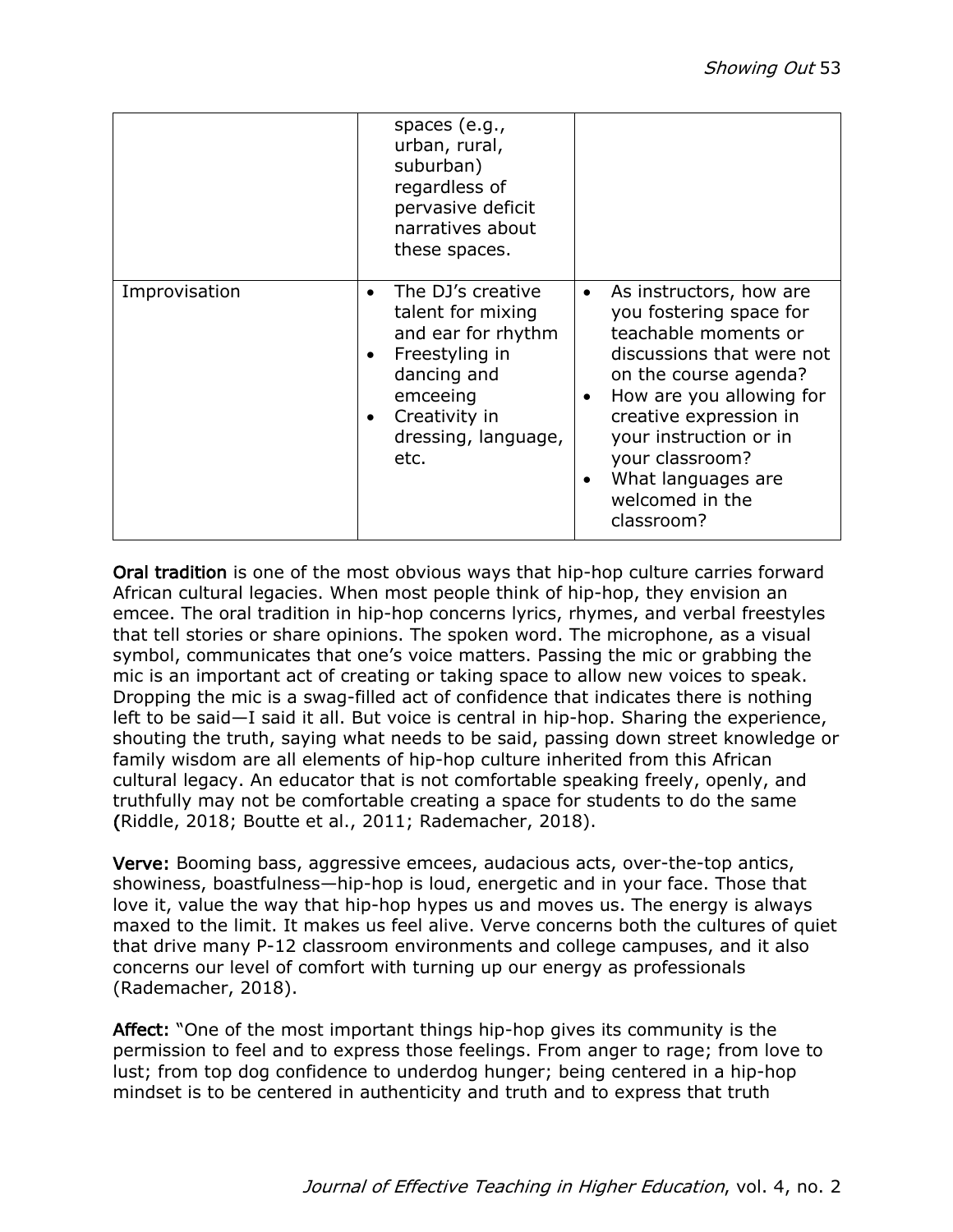|               | spaces $(e.g.,$<br>urban, rural,<br>suburban)<br>regardless of<br>pervasive deficit<br>narratives about<br>these spaces.                                                                         |                                                                                                                                                                                                                                                                                                                                   |
|---------------|--------------------------------------------------------------------------------------------------------------------------------------------------------------------------------------------------|-----------------------------------------------------------------------------------------------------------------------------------------------------------------------------------------------------------------------------------------------------------------------------------------------------------------------------------|
| Improvisation | The DJ's creative<br>$\bullet$<br>talent for mixing<br>and ear for rhythm<br>Freestyling in<br>$\bullet$<br>dancing and<br>emceeing<br>Creativity in<br>$\bullet$<br>dressing, language,<br>etc. | As instructors, how are<br>$\bullet$<br>you fostering space for<br>teachable moments or<br>discussions that were not<br>on the course agenda?<br>How are you allowing for<br>$\bullet$<br>creative expression in<br>your instruction or in<br>your classroom?<br>What languages are<br>$\bullet$<br>welcomed in the<br>classroom? |

Oral tradition is one of the most obvious ways that hip-hop culture carries forward African cultural legacies. When most people think of hip-hop, they envision an emcee. The oral tradition in hip-hop concerns lyrics, rhymes, and verbal freestyles that tell stories or share opinions. The spoken word. The microphone, as a visual symbol, communicates that one's voice matters. Passing the mic or grabbing the mic is an important act of creating or taking space to allow new voices to speak. Dropping the mic is a swag-filled act of confidence that indicates there is nothing left to be said—I said it all. But voice is central in hip-hop. Sharing the experience, shouting the truth, saying what needs to be said, passing down street knowledge or family wisdom are all elements of hip-hop culture inherited from this African cultural legacy. An educator that is not comfortable speaking freely, openly, and truthfully may not be comfortable creating a space for students to do the same (Riddle, 2018; Boutte et al., 2011; Rademacher, 2018).

Verve: Booming bass, aggressive emcees, audacious acts, over-the-top antics, showiness, boastfulness—hip-hop is loud, energetic and in your face. Those that love it, value the way that hip-hop hypes us and moves us. The energy is always maxed to the limit. It makes us feel alive. Verve concerns both the cultures of quiet that drive many P-12 classroom environments and college campuses, and it also concerns our level of comfort with turning up our energy as professionals (Rademacher, 2018).

Affect: "One of the most important things hip-hop gives its community is the permission to feel and to express those feelings. From anger to rage; from love to lust; from top dog confidence to underdog hunger; being centered in a hip-hop mindset is to be centered in authenticity and truth and to express that truth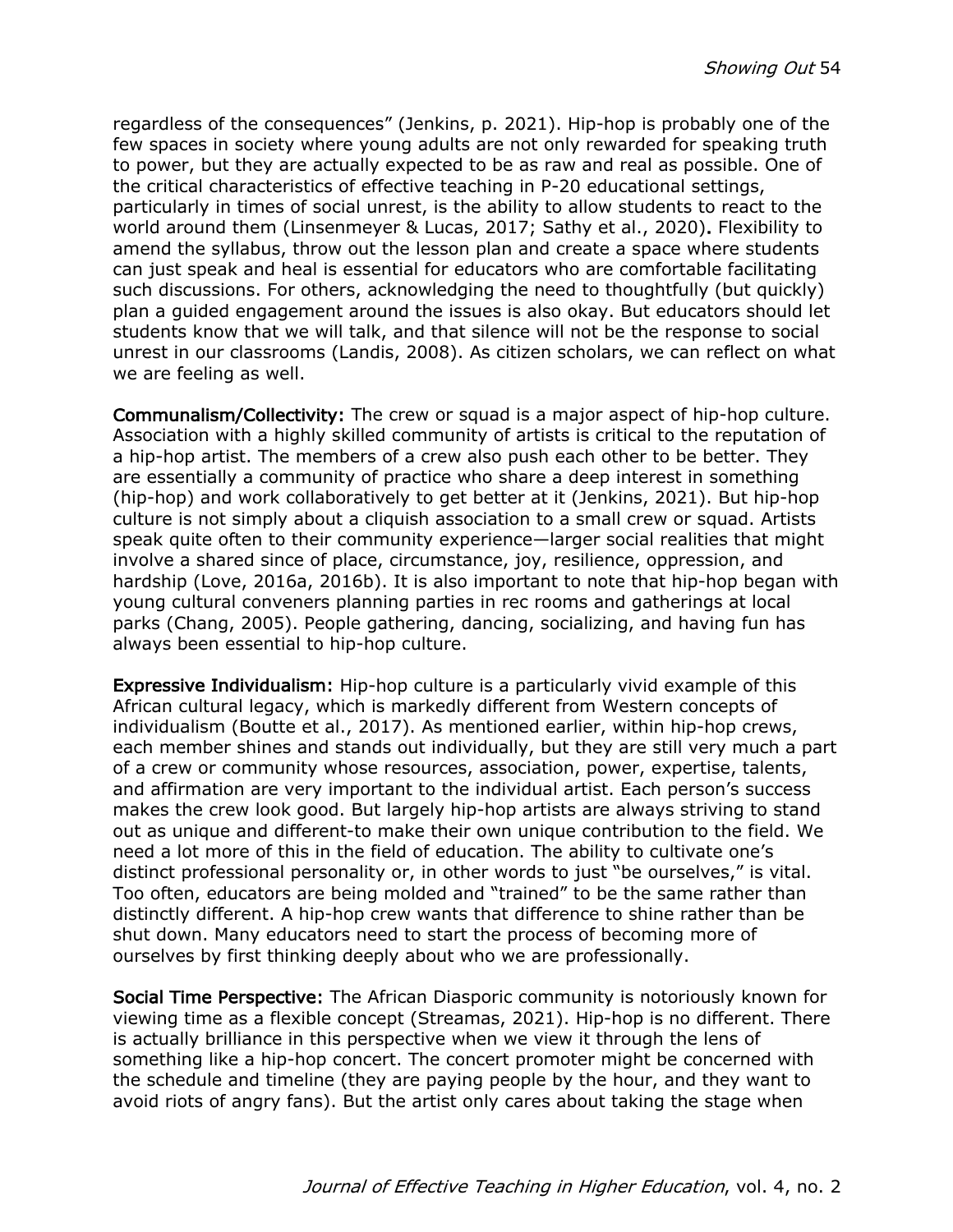regardless of the consequences" (Jenkins, p. 2021). Hip-hop is probably one of the few spaces in society where young adults are not only rewarded for speaking truth to power, but they are actually expected to be as raw and real as possible. One of the critical characteristics of effective teaching in P-20 educational settings, particularly in times of social unrest, is the ability to allow students to react to the world around them (Linsenmeyer & Lucas, 2017; Sathy et al., 2020). Flexibility to amend the syllabus, throw out the lesson plan and create a space where students can just speak and heal is essential for educators who are comfortable facilitating such discussions. For others, acknowledging the need to thoughtfully (but quickly) plan a guided engagement around the issues is also okay. But educators should let students know that we will talk, and that silence will not be the response to social unrest in our classrooms (Landis, 2008). As citizen scholars, we can reflect on what we are feeling as well.

Communalism/Collectivity: The crew or squad is a major aspect of hip-hop culture. Association with a highly skilled community of artists is critical to the reputation of a hip-hop artist. The members of a crew also push each other to be better. They are essentially a community of practice who share a deep interest in something (hip-hop) and work collaboratively to get better at it (Jenkins, 2021). But hip-hop culture is not simply about a cliquish association to a small crew or squad. Artists speak quite often to their community experience—larger social realities that might involve a shared since of place, circumstance, joy, resilience, oppression, and hardship (Love, 2016a, 2016b). It is also important to note that hip-hop began with young cultural conveners planning parties in rec rooms and gatherings at local parks (Chang, 2005). People gathering, dancing, socializing, and having fun has always been essential to hip-hop culture.

Expressive Individualism: Hip-hop culture is a particularly vivid example of this African cultural legacy, which is markedly different from Western concepts of individualism (Boutte et al., 2017). As mentioned earlier, within hip-hop crews, each member shines and stands out individually, but they are still very much a part of a crew or community whose resources, association, power, expertise, talents, and affirmation are very important to the individual artist. Each person's success makes the crew look good. But largely hip-hop artists are always striving to stand out as unique and different-to make their own unique contribution to the field. We need a lot more of this in the field of education. The ability to cultivate one's distinct professional personality or, in other words to just "be ourselves," is vital. Too often, educators are being molded and "trained" to be the same rather than distinctly different. A hip-hop crew wants that difference to shine rather than be shut down. Many educators need to start the process of becoming more of ourselves by first thinking deeply about who we are professionally.

Social Time Perspective: The African Diasporic community is notoriously known for viewing time as a flexible concept (Streamas, 2021). Hip-hop is no different. There is actually brilliance in this perspective when we view it through the lens of something like a hip-hop concert. The concert promoter might be concerned with the schedule and timeline (they are paying people by the hour, and they want to avoid riots of angry fans). But the artist only cares about taking the stage when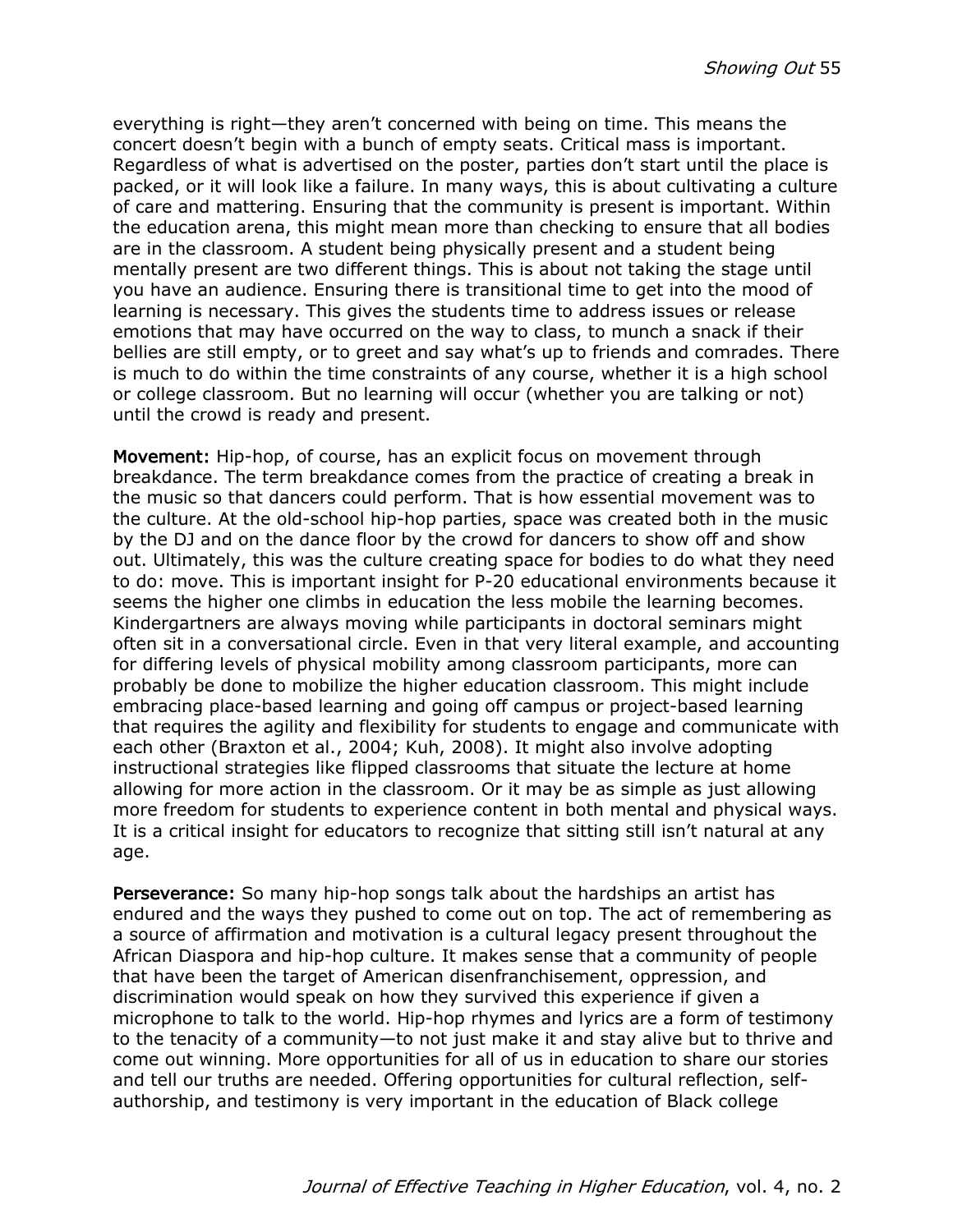everything is right—they aren't concerned with being on time. This means the concert doesn't begin with a bunch of empty seats. Critical mass is important. Regardless of what is advertised on the poster, parties don't start until the place is packed, or it will look like a failure. In many ways, this is about cultivating a culture of care and mattering. Ensuring that the community is present is important. Within the education arena, this might mean more than checking to ensure that all bodies are in the classroom. A student being physically present and a student being mentally present are two different things. This is about not taking the stage until you have an audience. Ensuring there is transitional time to get into the mood of learning is necessary. This gives the students time to address issues or release emotions that may have occurred on the way to class, to munch a snack if their bellies are still empty, or to greet and say what's up to friends and comrades. There is much to do within the time constraints of any course, whether it is a high school or college classroom. But no learning will occur (whether you are talking or not) until the crowd is ready and present.

Movement: Hip-hop, of course, has an explicit focus on movement through breakdance. The term breakdance comes from the practice of creating a break in the music so that dancers could perform. That is how essential movement was to the culture. At the old-school hip-hop parties, space was created both in the music by the DJ and on the dance floor by the crowd for dancers to show off and show out. Ultimately, this was the culture creating space for bodies to do what they need to do: move. This is important insight for P-20 educational environments because it seems the higher one climbs in education the less mobile the learning becomes. Kindergartners are always moving while participants in doctoral seminars might often sit in a conversational circle. Even in that very literal example, and accounting for differing levels of physical mobility among classroom participants, more can probably be done to mobilize the higher education classroom. This might include embracing place-based learning and going off campus or project-based learning that requires the agility and flexibility for students to engage and communicate with each other (Braxton et al., 2004; Kuh, 2008). It might also involve adopting instructional strategies like flipped classrooms that situate the lecture at home allowing for more action in the classroom. Or it may be as simple as just allowing more freedom for students to experience content in both mental and physical ways. It is a critical insight for educators to recognize that sitting still isn't natural at any age.

Perseverance: So many hip-hop songs talk about the hardships an artist has endured and the ways they pushed to come out on top. The act of remembering as a source of affirmation and motivation is a cultural legacy present throughout the African Diaspora and hip-hop culture. It makes sense that a community of people that have been the target of American disenfranchisement, oppression, and discrimination would speak on how they survived this experience if given a microphone to talk to the world. Hip-hop rhymes and lyrics are a form of testimony to the tenacity of a community—to not just make it and stay alive but to thrive and come out winning. More opportunities for all of us in education to share our stories and tell our truths are needed. Offering opportunities for cultural reflection, selfauthorship, and testimony is very important in the education of Black college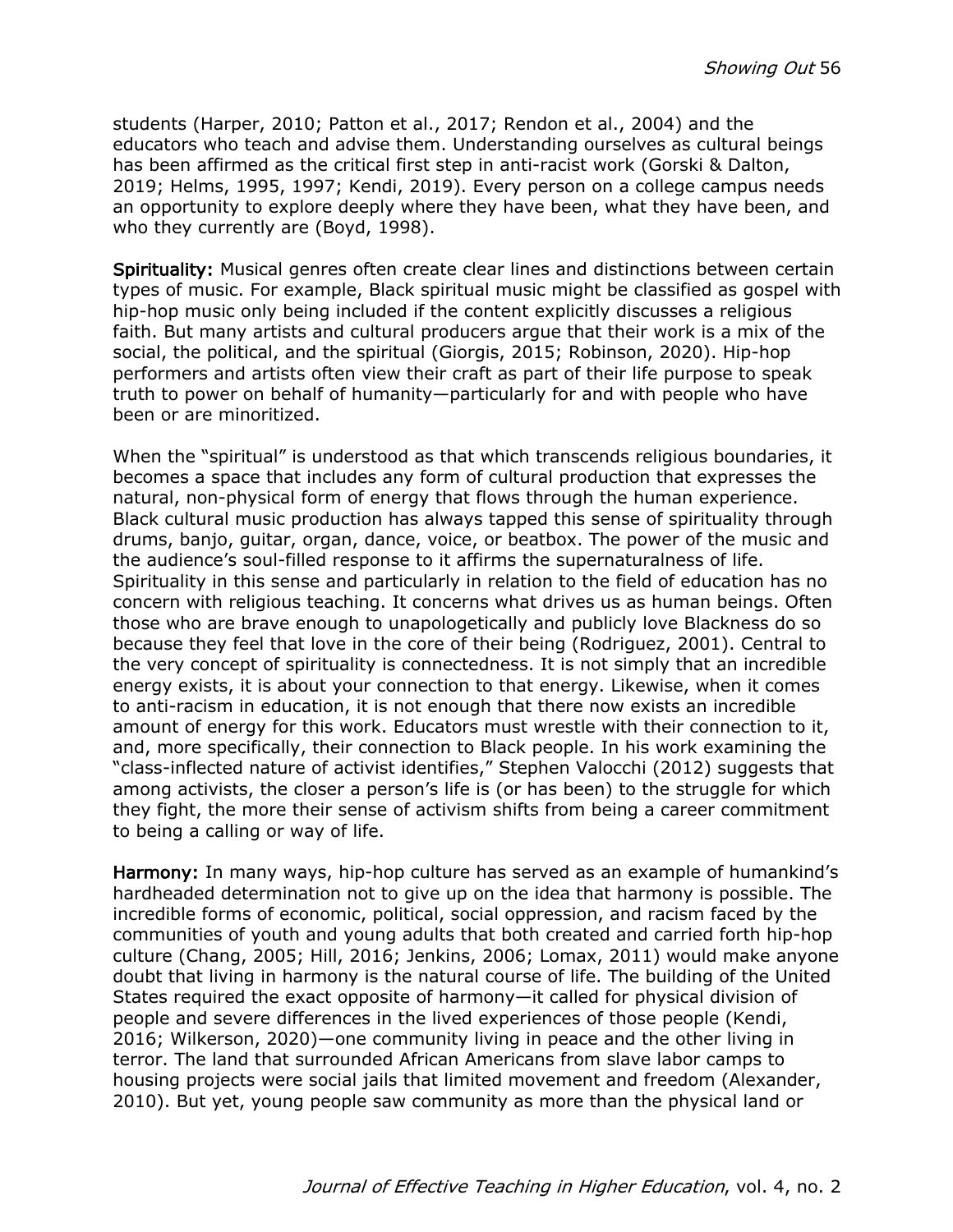students (Harper, 2010; Patton et al., 2017; Rendon et al., 2004) and the educators who teach and advise them. Understanding ourselves as cultural beings has been affirmed as the critical first step in anti-racist work (Gorski & Dalton, 2019; Helms, 1995, 1997; Kendi, 2019). Every person on a college campus needs an opportunity to explore deeply where they have been, what they have been, and who they currently are (Boyd, 1998).

Spirituality: Musical genres often create clear lines and distinctions between certain types of music. For example, Black spiritual music might be classified as gospel with hip-hop music only being included if the content explicitly discusses a religious faith. But many artists and cultural producers argue that their work is a mix of the social, the political, and the spiritual (Giorgis, 2015; Robinson, 2020). Hip-hop performers and artists often view their craft as part of their life purpose to speak truth to power on behalf of humanity—particularly for and with people who have been or are minoritized.

When the "spiritual" is understood as that which transcends religious boundaries, it becomes a space that includes any form of cultural production that expresses the natural, non-physical form of energy that flows through the human experience. Black cultural music production has always tapped this sense of spirituality through drums, banjo, guitar, organ, dance, voice, or beatbox. The power of the music and the audience's soul-filled response to it affirms the supernaturalness of life. Spirituality in this sense and particularly in relation to the field of education has no concern with religious teaching. It concerns what drives us as human beings. Often those who are brave enough to unapologetically and publicly love Blackness do so because they feel that love in the core of their being (Rodriguez, 2001). Central to the very concept of spirituality is connectedness. It is not simply that an incredible energy exists, it is about your connection to that energy. Likewise, when it comes to anti-racism in education, it is not enough that there now exists an incredible amount of energy for this work. Educators must wrestle with their connection to it, and, more specifically, their connection to Black people. In his work examining the "class-inflected nature of activist identifies," Stephen Valocchi (2012) suggests that among activists, the closer a person's life is (or has been) to the struggle for which they fight, the more their sense of activism shifts from being a career commitment to being a calling or way of life.

Harmony: In many ways, hip-hop culture has served as an example of humankind's hardheaded determination not to give up on the idea that harmony is possible. The incredible forms of economic, political, social oppression, and racism faced by the communities of youth and young adults that both created and carried forth hip-hop culture (Chang, 2005; Hill, 2016; Jenkins, 2006; Lomax, 2011) would make anyone doubt that living in harmony is the natural course of life. The building of the United States required the exact opposite of harmony—it called for physical division of people and severe differences in the lived experiences of those people (Kendi, 2016; Wilkerson, 2020)—one community living in peace and the other living in terror. The land that surrounded African Americans from slave labor camps to housing projects were social jails that limited movement and freedom (Alexander, 2010). But yet, young people saw community as more than the physical land or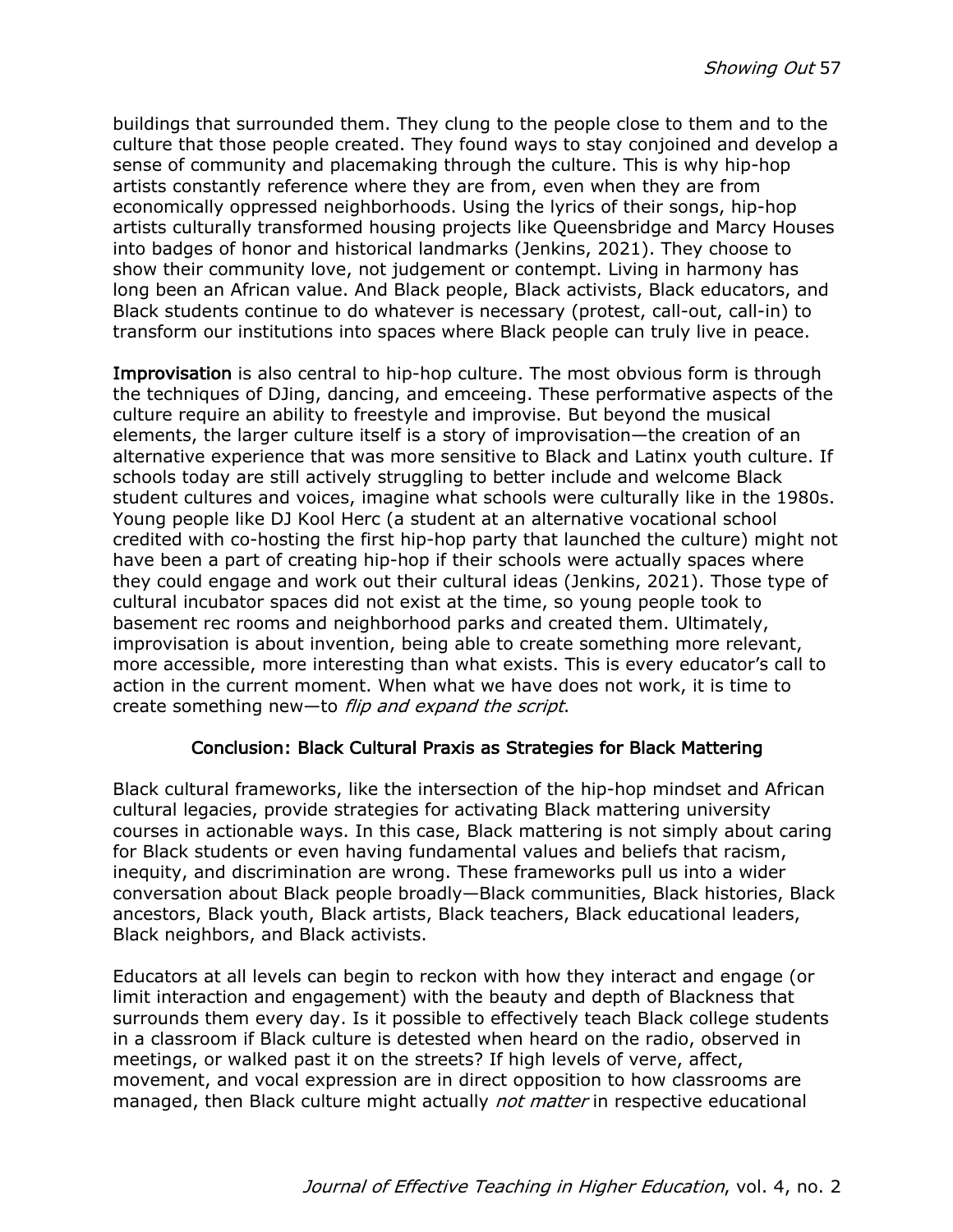buildings that surrounded them. They clung to the people close to them and to the culture that those people created. They found ways to stay conjoined and develop a sense of community and placemaking through the culture. This is why hip-hop artists constantly reference where they are from, even when they are from economically oppressed neighborhoods. Using the lyrics of their songs, hip-hop artists culturally transformed housing projects like Queensbridge and Marcy Houses into badges of honor and historical landmarks (Jenkins, 2021). They choose to show their community love, not judgement or contempt. Living in harmony has long been an African value. And Black people, Black activists, Black educators, and Black students continue to do whatever is necessary (protest, call-out, call-in) to transform our institutions into spaces where Black people can truly live in peace.

Improvisation is also central to hip-hop culture. The most obvious form is through the techniques of DJing, dancing, and emceeing. These performative aspects of the culture require an ability to freestyle and improvise. But beyond the musical elements, the larger culture itself is a story of improvisation—the creation of an alternative experience that was more sensitive to Black and Latinx youth culture. If schools today are still actively struggling to better include and welcome Black student cultures and voices, imagine what schools were culturally like in the 1980s. Young people like DJ Kool Herc (a student at an alternative vocational school credited with co-hosting the first hip-hop party that launched the culture) might not have been a part of creating hip-hop if their schools were actually spaces where they could engage and work out their cultural ideas (Jenkins, 2021). Those type of cultural incubator spaces did not exist at the time, so young people took to basement rec rooms and neighborhood parks and created them. Ultimately, improvisation is about invention, being able to create something more relevant, more accessible, more interesting than what exists. This is every educator's call to action in the current moment. When what we have does not work, it is time to create something new—to flip and expand the script.

### Conclusion: Black Cultural Praxis as Strategies for Black Mattering

Black cultural frameworks, like the intersection of the hip-hop mindset and African cultural legacies, provide strategies for activating Black mattering university courses in actionable ways. In this case, Black mattering is not simply about caring for Black students or even having fundamental values and beliefs that racism, inequity, and discrimination are wrong. These frameworks pull us into a wider conversation about Black people broadly—Black communities, Black histories, Black ancestors, Black youth, Black artists, Black teachers, Black educational leaders, Black neighbors, and Black activists.

Educators at all levels can begin to reckon with how they interact and engage (or limit interaction and engagement) with the beauty and depth of Blackness that surrounds them every day. Is it possible to effectively teach Black college students in a classroom if Black culture is detested when heard on the radio, observed in meetings, or walked past it on the streets? If high levels of verve, affect, movement, and vocal expression are in direct opposition to how classrooms are managed, then Black culture might actually *not matter* in respective educational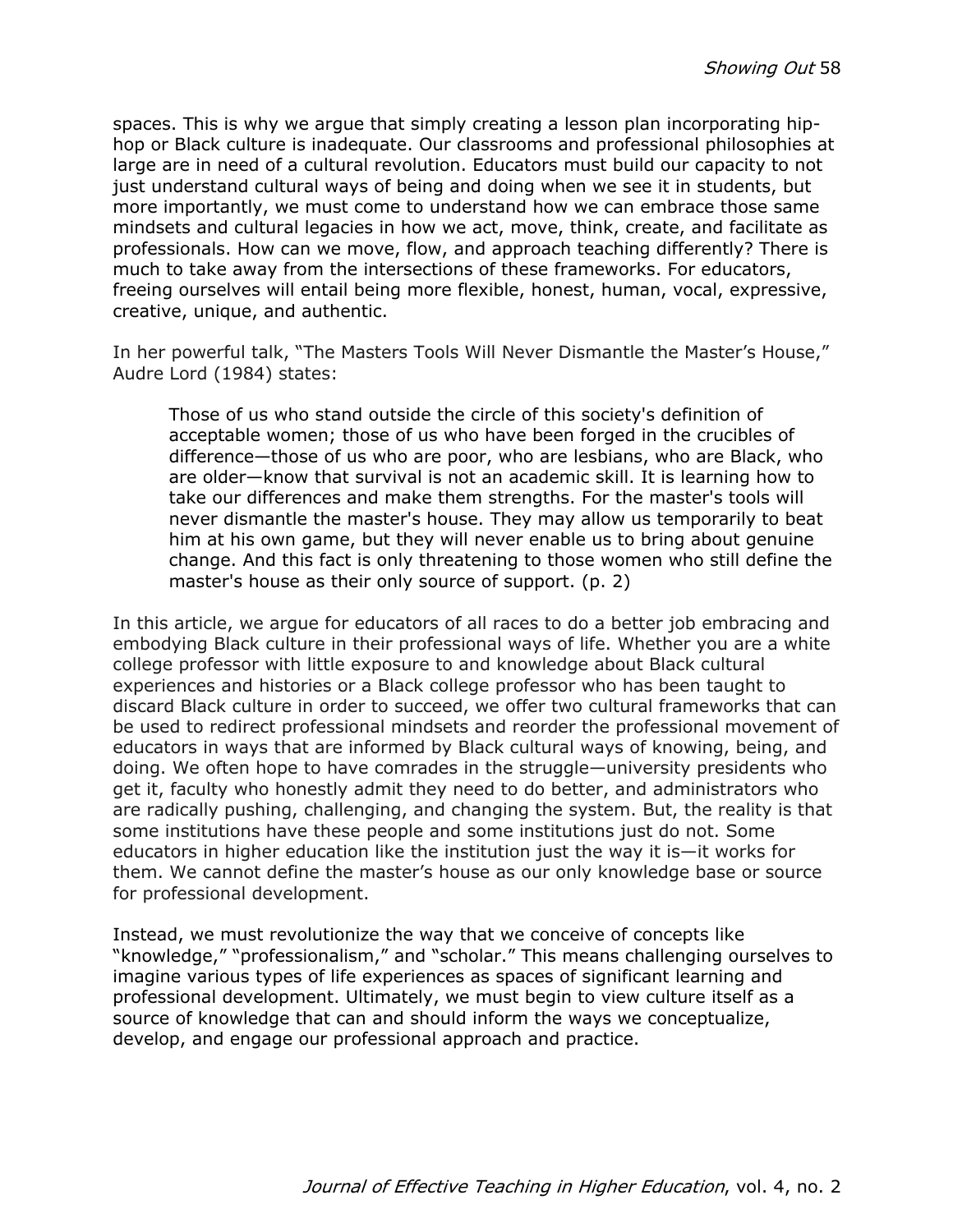spaces. This is why we argue that simply creating a lesson plan incorporating hiphop or Black culture is inadequate. Our classrooms and professional philosophies at large are in need of a cultural revolution. Educators must build our capacity to not just understand cultural ways of being and doing when we see it in students, but more importantly, we must come to understand how we can embrace those same mindsets and cultural legacies in how we act, move, think, create, and facilitate as professionals. How can we move, flow, and approach teaching differently? There is much to take away from the intersections of these frameworks. For educators, freeing ourselves will entail being more flexible, honest, human, vocal, expressive, creative, unique, and authentic.

In her powerful talk, "The Masters Tools Will Never Dismantle the Master's House," Audre Lord (1984) states:

Those of us who stand outside the circle of this society's definition of acceptable women; those of us who have been forged in the crucibles of difference—those of us who are poor, who are lesbians, who are Black, who are older—know that survival is not an academic skill. It is learning how to take our differences and make them strengths. For the master's tools will never dismantle the master's house. They may allow us temporarily to beat him at his own game, but they will never enable us to bring about genuine change. And this fact is only threatening to those women who still define the master's house as their only source of support. (p. 2)

In this article, we argue for educators of all races to do a better job embracing and embodying Black culture in their professional ways of life. Whether you are a white college professor with little exposure to and knowledge about Black cultural experiences and histories or a Black college professor who has been taught to discard Black culture in order to succeed, we offer two cultural frameworks that can be used to redirect professional mindsets and reorder the professional movement of educators in ways that are informed by Black cultural ways of knowing, being, and doing. We often hope to have comrades in the struggle—university presidents who get it, faculty who honestly admit they need to do better, and administrators who are radically pushing, challenging, and changing the system. But, the reality is that some institutions have these people and some institutions just do not. Some educators in higher education like the institution just the way it is—it works for them. We cannot define the master's house as our only knowledge base or source for professional development.

Instead, we must revolutionize the way that we conceive of concepts like "knowledge," "professionalism," and "scholar." This means challenging ourselves to imagine various types of life experiences as spaces of significant learning and professional development. Ultimately, we must begin to view culture itself as a source of knowledge that can and should inform the ways we conceptualize, develop, and engage our professional approach and practice.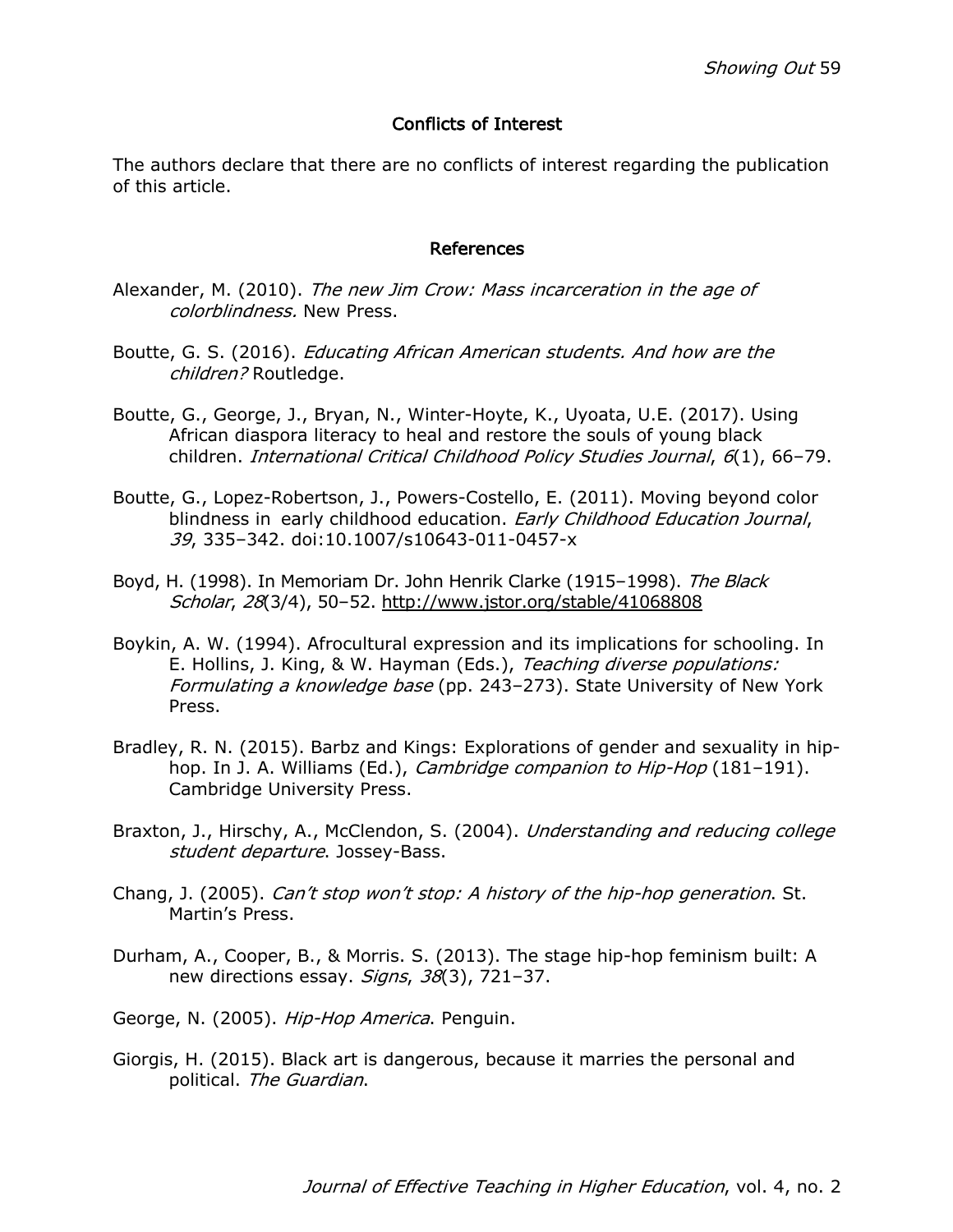#### Conflicts of Interest

The authors declare that there are no conflicts of interest regarding the publication of this article.

#### References

- Alexander, M. (2010). The new Jim Crow: Mass incarceration in the age of colorblindness. New Press.
- Boutte, G. S. (2016). *Educating African American students. And how are the* children? Routledge.
- Boutte, G., George, J., Bryan, N., Winter-Hoyte, K., Uyoata, U.E. (2017). Using African diaspora literacy to heal and restore the souls of young black children. International Critical Childhood Policy Studies Journal, 6(1), 66–79.
- Boutte, G., Lopez-Robertson, J., Powers-Costello, E. (2011). Moving beyond color blindness in early childhood education. Early Childhood Education Journal, 39, 335–342. doi:10.1007/s10643-011-0457-x
- Boyd, H. (1998). In Memoriam Dr. John Henrik Clarke (1915-1998). The Black Scholar, 28(3/4), 50–52. http://www.jstor.org/stable/41068808
- Boykin, A. W. (1994). Afrocultural expression and its implications for schooling. In E. Hollins, J. King, & W. Hayman (Eds.), Teaching diverse populations: Formulating a knowledge base (pp. 243–273). State University of New York Press.
- Bradley, R. N. (2015). Barbz and Kings: Explorations of gender and sexuality in hiphop. In J. A. Williams (Ed.), *Cambridge companion to Hip-Hop* (181-191). Cambridge University Press.
- Braxton, J., Hirschy, A., McClendon, S. (2004). Understanding and reducing college student departure. Jossey-Bass.
- Chang, J. (2005). Can't stop won't stop: A history of the hip-hop generation. St. Martin's Press.
- Durham, A., Cooper, B., & Morris. S. (2013). The stage hip-hop feminism built: A new directions essay. Signs, 38(3), 721-37.

George, N. (2005). Hip-Hop America. Penguin.

Giorgis, H. (2015). Black art is dangerous, because it marries the personal and political. The Guardian.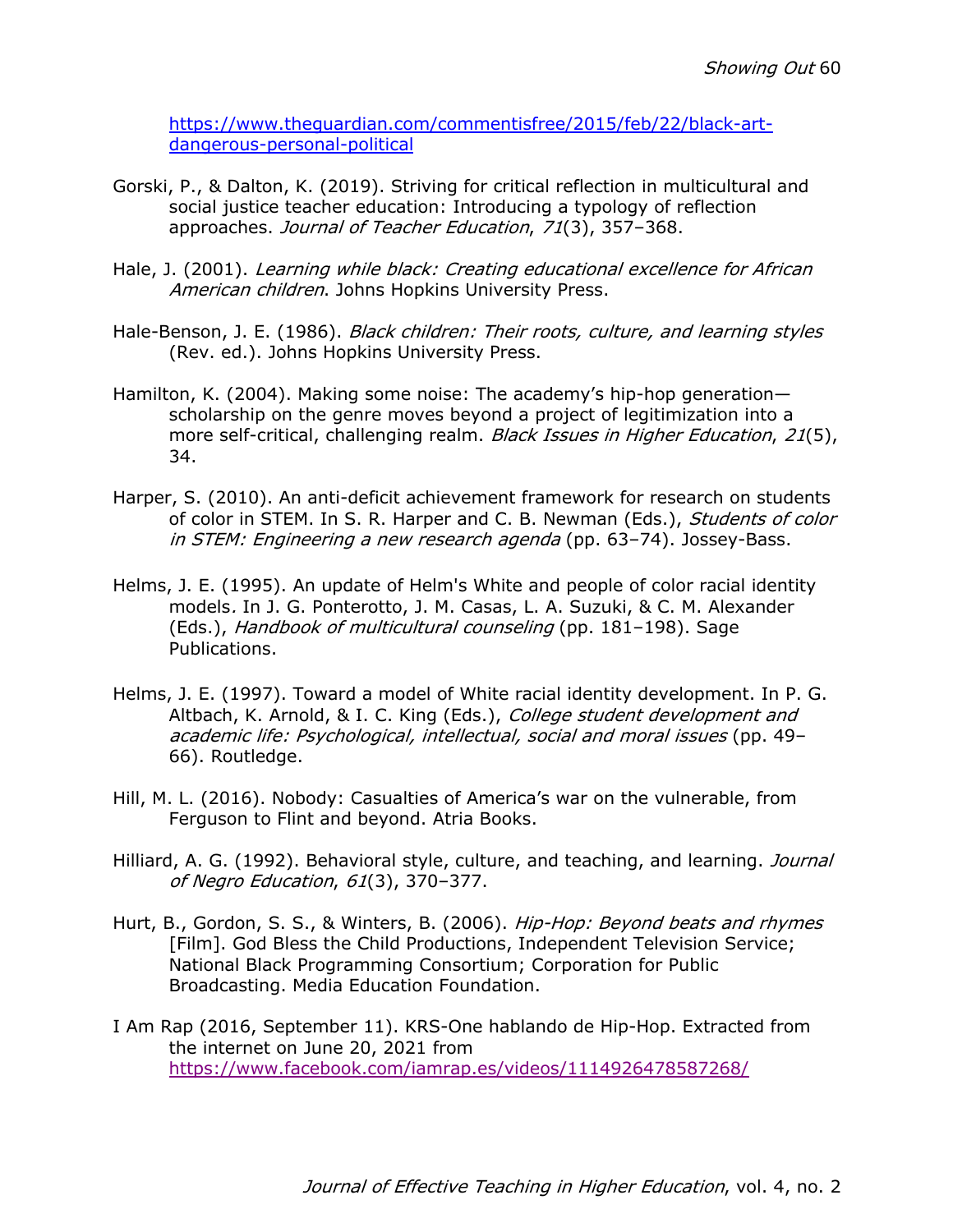https://www.theguardian.com/commentisfree/2015/feb/22/black-artdangerous-personal-political

- Gorski, P., & Dalton, K. (2019). Striving for critical reflection in multicultural and social justice teacher education: Introducing a typology of reflection approaches. Journal of Teacher Education, 71(3), 357–368.
- Hale, J. (2001). Learning while black: Creating educational excellence for African American children. Johns Hopkins University Press.
- Hale-Benson, J. E. (1986). Black children: Their roots, culture, and learning styles (Rev. ed.). Johns Hopkins University Press.
- Hamilton, K. (2004). Making some noise: The academy's hip-hop generation scholarship on the genre moves beyond a project of legitimization into a more self-critical, challenging realm. Black Issues in Higher Education, 21(5), 34.
- Harper, S. (2010). An anti-deficit achievement framework for research on students of color in STEM. In S. R. Harper and C. B. Newman (Eds.), Students of color in STEM: Engineering a new research agenda (pp. 63-74). Jossey-Bass.
- Helms, J. E. (1995). An update of Helm's White and people of color racial identity models. In J. G. Ponterotto, J. M. Casas, L. A. Suzuki, & C. M. Alexander (Eds.), Handbook of multicultural counseling (pp. 181–198). Sage Publications.
- Helms, J. E. (1997). Toward a model of White racial identity development. In P. G. Altbach, K. Arnold, & I. C. King (Eds.), College student development and academic life: Psychological, intellectual, social and moral issues (pp. 49– 66). Routledge.
- Hill, M. L. (2016). Nobody: Casualties of America's war on the vulnerable, from Ferguson to Flint and beyond. Atria Books.
- Hilliard, A. G. (1992). Behavioral style, culture, and teaching, and learning. Journal of Negro Education, 61(3), 370–377.
- Hurt, B., Gordon, S. S., & Winters, B. (2006). Hip-Hop: Beyond beats and rhymes [Film]. God Bless the Child Productions, Independent Television Service; National Black Programming Consortium; Corporation for Public Broadcasting. Media Education Foundation.
- I Am Rap (2016, September 11). KRS-One hablando de Hip-Hop. Extracted from the internet on June 20, 2021 from https://www.facebook.com/iamrap.es/videos/1114926478587268/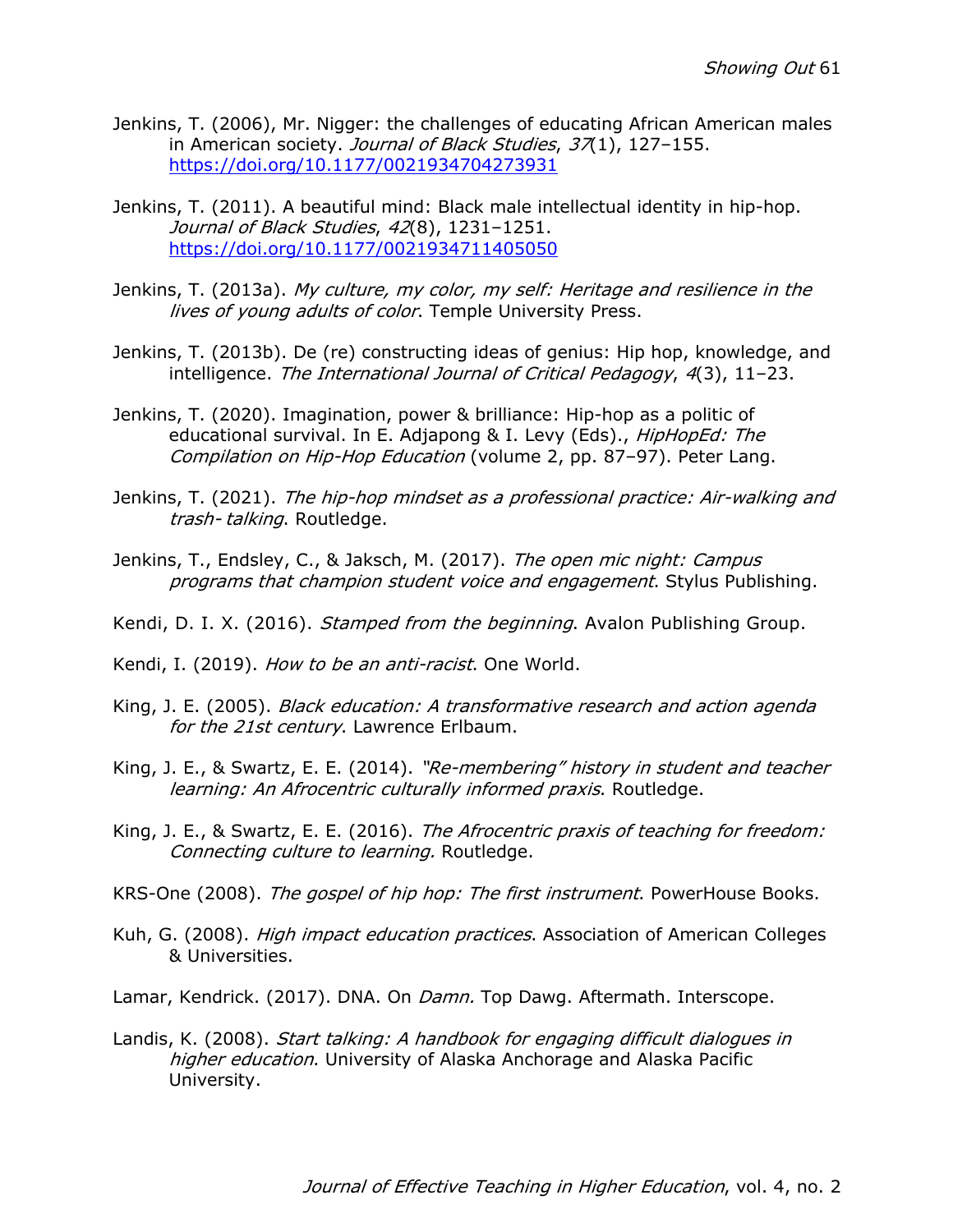- Jenkins, T. (2006), Mr. Nigger: the challenges of educating African American males in American society. Journal of Black Studies, 37(1), 127-155. https://doi.org/10.1177/0021934704273931
- Jenkins, T. (2011). A beautiful mind: Black male intellectual identity in hip-hop. Journal of Black Studies, 42(8), 1231-1251. https://doi.org/10.1177/0021934711405050
- Jenkins, T. (2013a). My culture, my color, my self: Heritage and resilience in the lives of young adults of color. Temple University Press.
- Jenkins, T. (2013b). De (re) constructing ideas of genius: Hip hop, knowledge, and intelligence. The International Journal of Critical Pedagogy, 4(3), 11–23.
- Jenkins, T. (2020). Imagination, power & brilliance: Hip-hop as a politic of educational survival. In E. Adjapong & I. Levy (Eds)., HipHopEd: The Compilation on Hip-Hop Education (volume 2, pp. 87–97). Peter Lang.
- Jenkins, T. (2021). The hip-hop mindset as a professional practice: Air-walking and trash- talking. Routledge.
- Jenkins, T., Endsley, C., & Jaksch, M. (2017). The open mic night: Campus programs that champion student voice and engagement. Stylus Publishing.
- Kendi, D. I. X. (2016). *Stamped from the beginning*. Avalon Publishing Group.
- Kendi, I. (2019). *How to be an anti-racist*. One World.
- King, J. E. (2005). Black education: A transformative research and action agenda for the 21st century. Lawrence Erlbaum.
- King, J. E., & Swartz, E. E. (2014). "Re-membering" history in student and teacher learning: An Afrocentric culturally informed praxis. Routledge.
- King, J. E., & Swartz, E. E. (2016). The Afrocentric praxis of teaching for freedom: Connecting culture to learning. Routledge.
- KRS-One (2008). The gospel of hip hop: The first instrument. PowerHouse Books.
- Kuh, G. (2008). *High impact education practices*. Association of American Colleges & Universities.
- Lamar, Kendrick. (2017). DNA. On *Damn.* Top Dawg. Aftermath. Interscope.
- Landis, K. (2008). Start talking: A handbook for engaging difficult dialogues in higher education. University of Alaska Anchorage and Alaska Pacific University.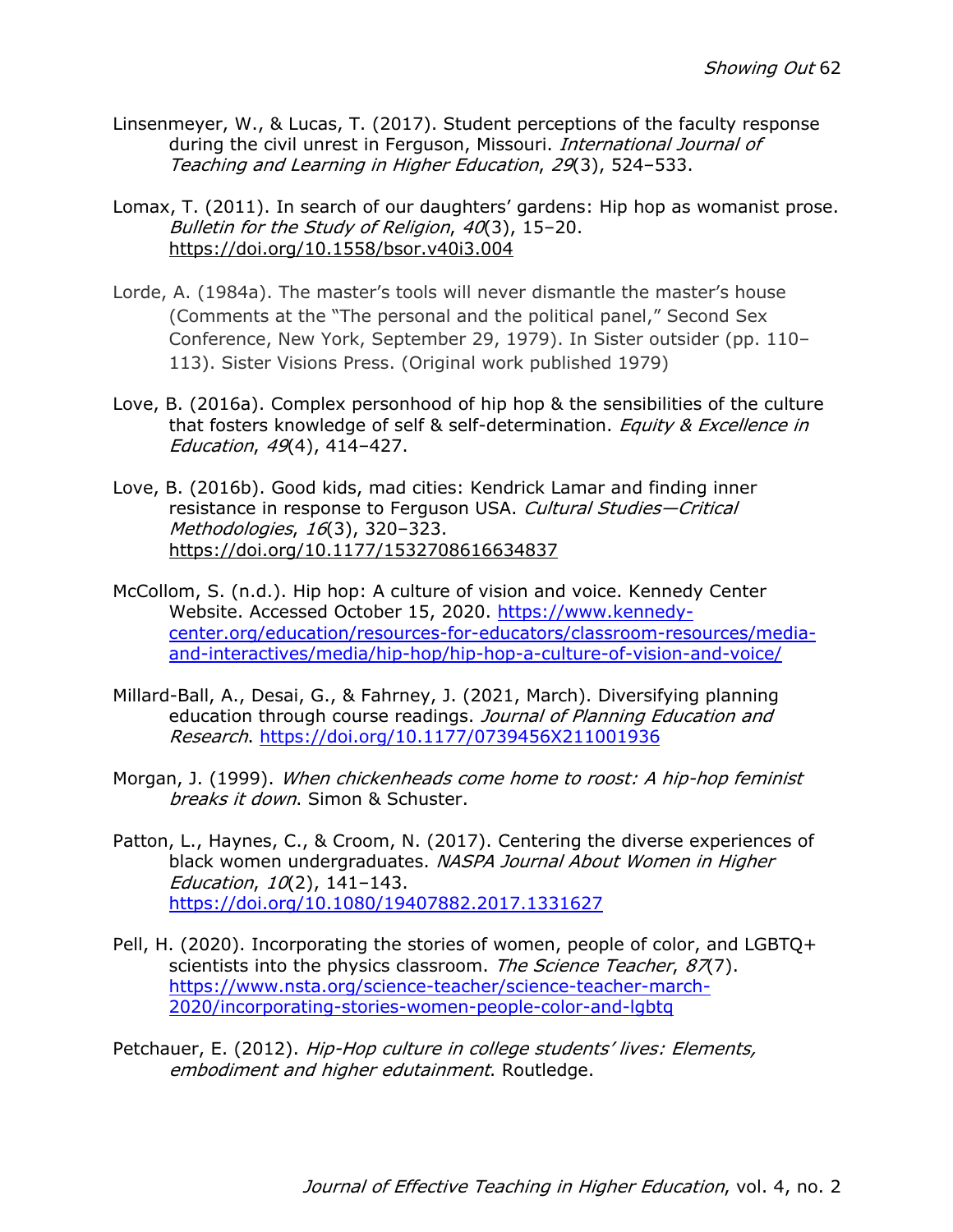- Linsenmeyer, W., & Lucas, T. (2017). Student perceptions of the faculty response during the civil unrest in Ferguson, Missouri. International Journal of Teaching and Learning in Higher Education, 29(3), 524–533.
- Lomax, T. (2011). In search of our daughters' gardens: Hip hop as womanist prose. Bulletin for the Study of Religion, 40(3), 15–20. https://doi.org/10.1558/bsor.v40i3.004
- Lorde, A. (1984a). The master's tools will never dismantle the master's house (Comments at the "The personal and the political panel," Second Sex Conference, New York, September 29, 1979). In Sister outsider (pp. 110– 113). Sister Visions Press. (Original work published 1979)
- Love, B. (2016a). Complex personhood of hip hop & the sensibilities of the culture that fosters knowledge of self & self-determination. *Equity & Excellence in* Education, 49(4), 414–427.
- Love, B. (2016b). Good kids, mad cities: Kendrick Lamar and finding inner resistance in response to Ferguson USA. Cultural Studies-Critical Methodologies, 16(3), 320–323. https://doi.org/10.1177/1532708616634837
- McCollom, S. (n.d.). Hip hop: A culture of vision and voice. Kennedy Center Website. Accessed October 15, 2020. https://www.kennedycenter.org/education/resources-for-educators/classroom-resources/mediaand-interactives/media/hip-hop/hip-hop-a-culture-of-vision-and-voice/
- Millard-Ball, A., Desai, G., & Fahrney, J. (2021, March). Diversifying planning education through course readings. Journal of Planning Education and Research. https://doi.org/10.1177/0739456X211001936
- Morgan, J. (1999). When chickenheads come home to roost: A hip-hop feminist breaks it down. Simon & Schuster.
- Patton, L., Haynes, C., & Croom, N. (2017). Centering the diverse experiences of black women undergraduates. NASPA Journal About Women in Higher Education, 10(2), 141–143. https://doi.org/10.1080/19407882.2017.1331627
- Pell, H. (2020). Incorporating the stories of women, people of color, and LGBTQ+ scientists into the physics classroom. The Science Teacher, 87(7). https://www.nsta.org/science-teacher/science-teacher-march-2020/incorporating-stories-women-people-color-and-lgbtq
- Petchauer, E. (2012). Hip-Hop culture in college students' lives: Elements, embodiment and higher edutainment. Routledge.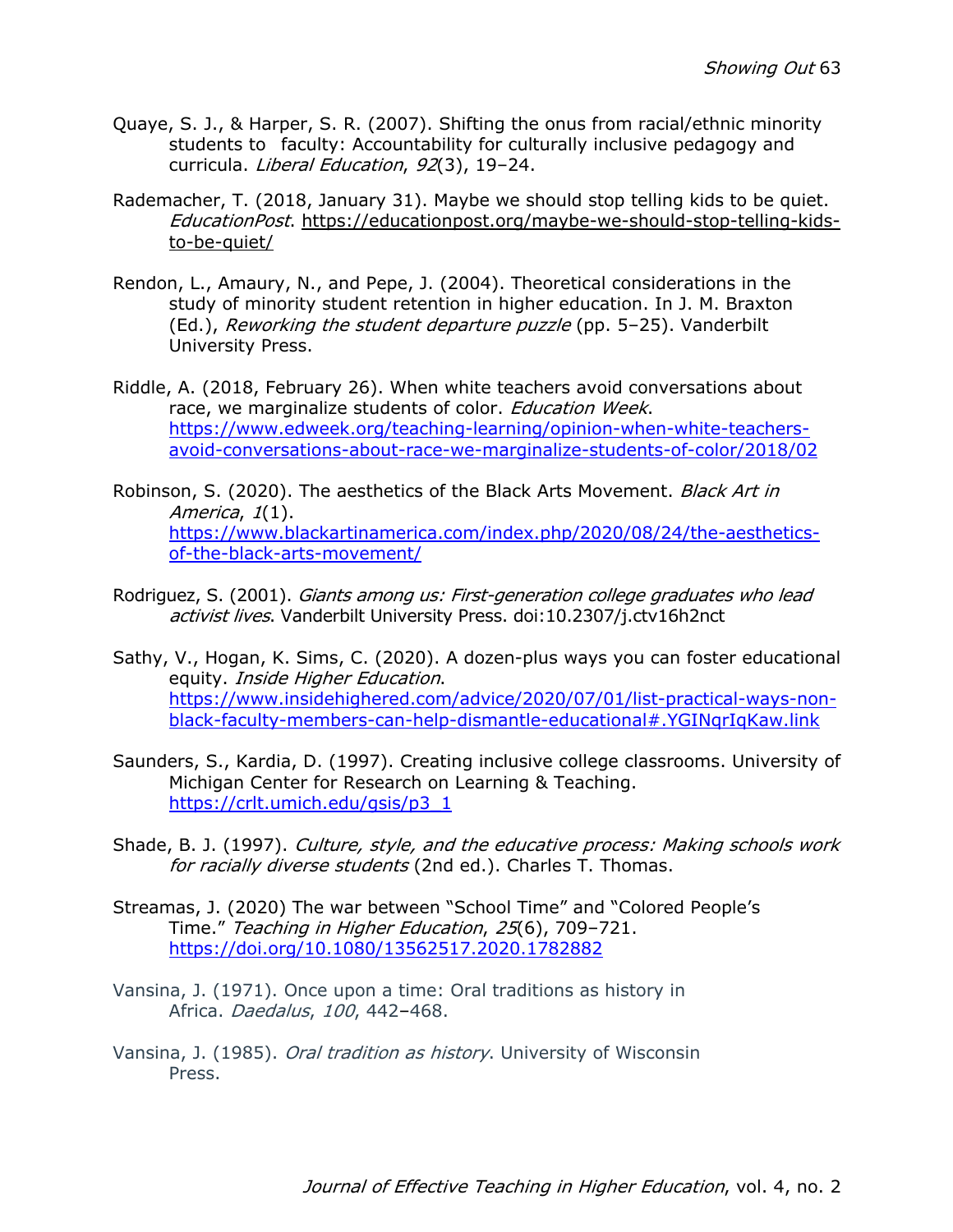- Quaye, S. J., & Harper, S. R. (2007). Shifting the onus from racial/ethnic minority students to faculty: Accountability for culturally inclusive pedagogy and curricula. Liberal Education, 92(3), 19–24.
- Rademacher, T. (2018, January 31). Maybe we should stop telling kids to be quiet. EducationPost. https://educationpost.org/maybe-we-should-stop-telling-kidsto-be-quiet/
- Rendon, L., Amaury, N., and Pepe, J. (2004). Theoretical considerations in the study of minority student retention in higher education. In J. M. Braxton (Ed.), Reworking the student departure puzzle (pp. 5–25). Vanderbilt University Press.
- Riddle, A. (2018, February 26). When white teachers avoid conversations about race, we marginalize students of color. *Education Week*. https://www.edweek.org/teaching-learning/opinion-when-white-teachersavoid-conversations-about-race-we-marginalize-students-of-color/2018/02
- Robinson, S. (2020). The aesthetics of the Black Arts Movement. Black Art in America, 1(1). https://www.blackartinamerica.com/index.php/2020/08/24/the-aestheticsof-the-black-arts-movement/
- Rodriguez, S. (2001). *Giants among us: First-generation college graduates who lead* activist lives. Vanderbilt University Press. doi:10.2307/j.ctv16h2nct
- Sathy, V., Hogan, K. Sims, C. (2020). A dozen-plus ways you can foster educational equity. Inside Higher Education. https://www.insidehighered.com/advice/2020/07/01/list-practical-ways-nonblack-faculty-members-can-help-dismantle-educational#.YGINqrIqKaw.link
- Saunders, S., Kardia, D. (1997). Creating inclusive college classrooms. University of Michigan Center for Research on Learning & Teaching. https://crlt.umich.edu/gsis/p3\_1
- Shade, B. J. (1997). Culture, style, and the educative process: Making schools work for racially diverse students (2nd ed.). Charles T. Thomas.
- Streamas, J. (2020) The war between "School Time" and "Colored People's Time." Teaching in Higher Education, 25(6), 709–721. https://doi.org/10.1080/13562517.2020.1782882
- Vansina, J. (1971). Once upon a time: Oral traditions as history in Africa. Daedalus, 100, 442–468.
- Vansina, J. (1985). *Oral tradition as history*. University of Wisconsin Press.